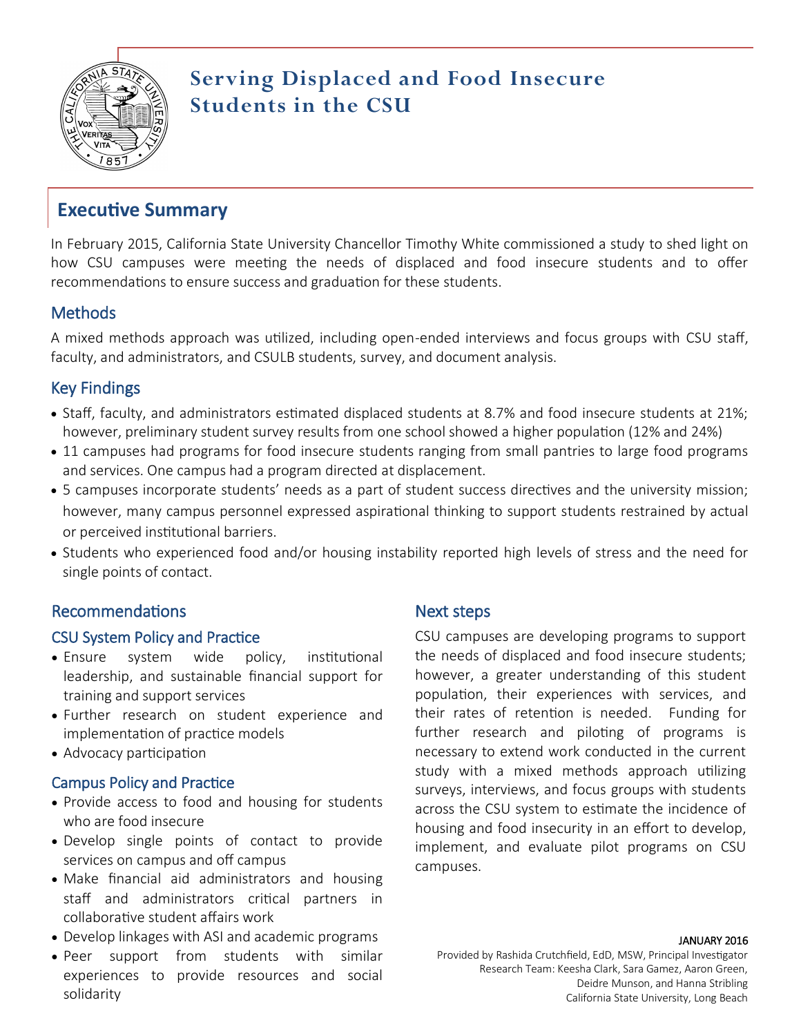

# **Serving Displaced and Food Insecure Students in the CSU**

# **Executive Summary**

In February 2015, California State University Chancellor Timothy White commissioned a study to shed light on how CSU campuses were meeting the needs of displaced and food insecure students and to offer recommendations to ensure success and graduation for these students.

# **Methods**

A mixed methods approach was utilized, including open-ended interviews and focus groups with CSU staff, faculty, and administrators, and CSULB students, survey, and document analysis.

# Key Findings

- Staff, faculty, and administrators estimated displaced students at 8.7% and food insecure students at 21%; however, preliminary student survey results from one school showed a higher population (12% and 24%)
- 11 campuses had programs for food insecure students ranging from small pantries to large food programs and services. One campus had a program directed at displacement.
- 5 campuses incorporate students' needs as a part of student success directives and the university mission; however, many campus personnel expressed aspirational thinking to support students restrained by actual or perceived institutional barriers.
- Students who experienced food and/or housing instability reported high levels of stress and the need for single points of contact.

# Recommendations

# CSU System Policy and Practice

- Ensure system wide policy, institutional leadership, and sustainable financial support for training and support services
- Further research on student experience and implementation of practice models
- Advocacy participation

# Campus Policy and Practice

- Provide access to food and housing for students who are food insecure
- Develop single points of contact to provide services on campus and off campus
- Make financial aid administrators and housing staff and administrators critical partners in collaborative student affairs work
- Develop linkages with ASI and academic programs
- Peer support from students with similar experiences to provide resources and social solidarity

# Next steps

CSU campuses are developing programs to support the needs of displaced and food insecure students; however, a greater understanding of this student population, their experiences with services, and their rates of retention is needed. Funding for further research and piloting of programs is necessary to extend work conducted in the current study with a mixed methods approach utilizing surveys, interviews, and focus groups with students across the CSU system to estimate the incidence of housing and food insecurity in an effort to develop, implement, and evaluate pilot programs on CSU campuses.

#### JANUARY 2016

Provided by Rashida Crutchfield, EdD, MSW, Principal Investigator Research Team: Keesha Clark, Sara Gamez, Aaron Green, Deidre Munson, and Hanna Stribling California State University, Long Beach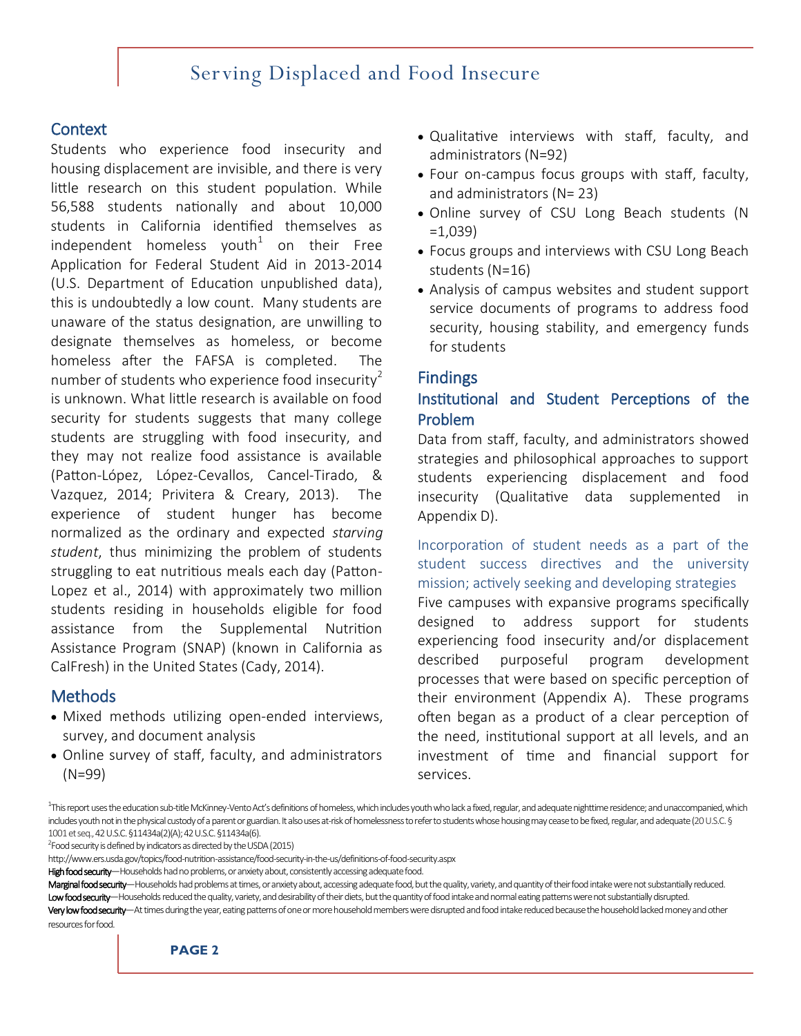# Serving Displaced and Food Insecure

### **Context**

Students who experience food insecurity and housing displacement are invisible, and there is very little research on this student population. While 56,588 students nationally and about 10,000 students in California identified themselves as independent homeless youth $1$  on their Free Application for Federal Student Aid in 2013-2014 (U.S. Department of Education unpublished data), this is undoubtedly a low count. Many students are unaware of the status designation, are unwilling to designate themselves as homeless, or become homeless after the FAFSA is completed. The number of students who experience food insecurity  $\sim$ is unknown. What little research is available on food security for students suggests that many college students are struggling with food insecurity, and they may not realize food assistance is available (Patton-López, López-Cevallos, Cancel-Tirado, & Vazquez, 2014; Privitera & Creary, 2013). The experience of student hunger has become normalized as the ordinary and expected *starving student*, thus minimizing the problem of students struggling to eat nutritious meals each day (Patton-Lopez et al., 2014) with approximately two million students residing in households eligible for food assistance from the Supplemental Nutrition Assistance Program (SNAP) (known in California as CalFresh) in the United States (Cady, 2014).

# Methods

- Mixed methods utilizing open-ended interviews, survey, and document analysis
- Online survey of staff, faculty, and administrators (N=99)
- Qualitative interviews with staff, faculty, and administrators (N=92)
- Four on-campus focus groups with staff, faculty, and administrators (N= 23)
- Online survey of CSU Long Beach students (N  $=1.039$
- Focus groups and interviews with CSU Long Beach students (N=16)
- Analysis of campus websites and student support service documents of programs to address food security, housing stability, and emergency funds for students

# Findings

# Institutional and Student Perceptions of the Problem

Data from staff, faculty, and administrators showed strategies and philosophical approaches to support students experiencing displacement and food insecurity (Qualitative data supplemented in Appendix D).

Incorporation of student needs as a part of the student success directives and the university mission; actively seeking and developing strategies Five campuses with expansive programs specifically designed to address support for students experiencing food insecurity and/or displacement described purposeful program development processes that were based on specific perception of their environment (Appendix A). These programs often began as a product of a clear perception of the need, institutional support at all levels, and an investment of time and financial support for services.

 $^{2}$ Food security is defined by indicators as directed by the USDA (2015)

<sup>&</sup>lt;sup>1</sup>This report uses the education sub-title McKinney-Vento Act's definitions of homeless, which includes youth who lack a fixed, regular, and adequate nighttime residence; and unaccompanied, which includes youth not in the physical custody of a parent or guardian. It also uses at-risk of homelessness to refer to students whose housing may cease to be fixed, regular, and adequate (20 U.S.C. § 1001 et seq., 42 U.S.C. §11434a(2)(A); 42 U.S.C. §11434a(6).

[http://www.ers.usda.gov/topics/food](http://www.ers.usda.gov/topics/food-nutrition-assistance/food-security-in-the-us/definitions-of-food-security.aspx)-nutrition-assistance/food-security-in-the-us/definitions-of-food-security.aspx

High food security—Households had no problems, or anxiety about, consistently accessing adequate food.

Marginal food security—Households had problems at times, or anxiety about, accessing adequate food, but the quality, variety, and quantity of their food intake were not substantially reduced. Low food security—Households reduced the quality, variety, and desirability of their diets, but the quantity of food intake and normal eating patterns were not substantially disrupted.

Very low food security—At times during the year, eating patterns of one or more household members were disrupted and food intake reduced because the household lacked money and other resources for food.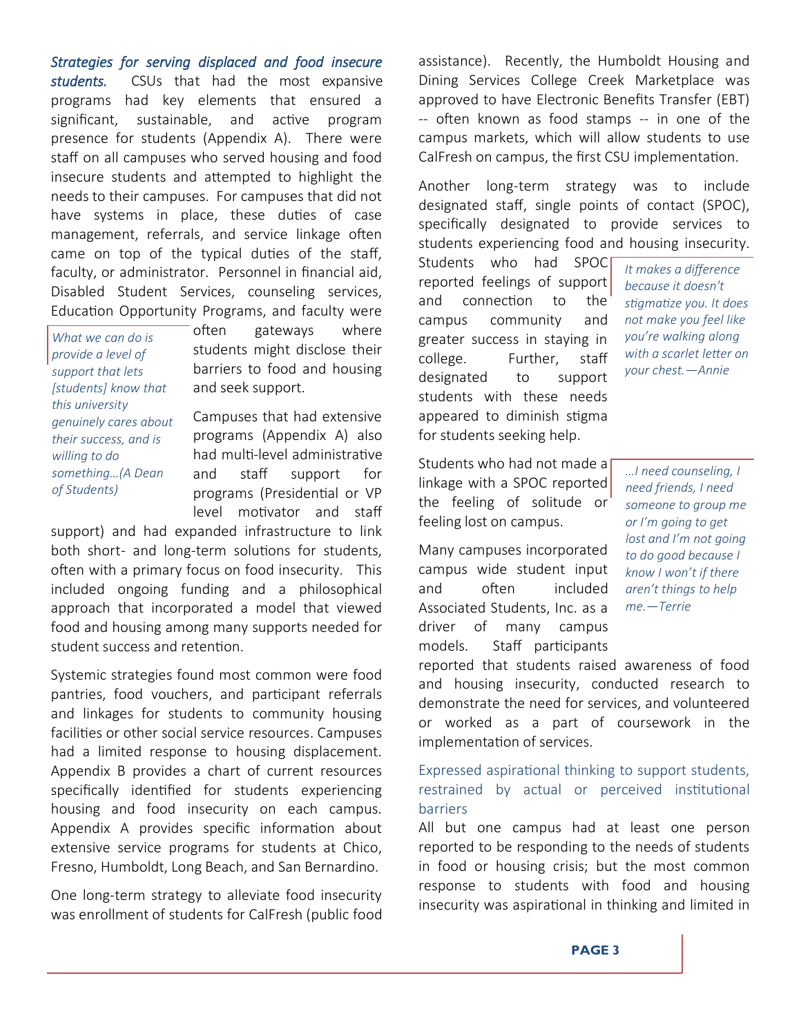*Strategies for serving displaced and food insecure students.* CSUs that had the most expansive programs had key elements that ensured a significant, sustainable, and active program presence for students (Appendix A). There were staff on all campuses who served housing and food insecure students and attempted to highlight the needs to their campuses. For campuses that did not have systems in place, these duties of case management, referrals, and service linkage often came on top of the typical duties of the staff, faculty, or administrator. Personnel in financial aid, Disabled Student Services, counseling services, Education Opportunity Programs, and faculty were

*What we can do is provide a level of support that lets [students] know that this university genuinely cares about their success, and is willing to do something…(A Dean of Students)*

often gateways where students might disclose their barriers to food and housing and seek support.

Campuses that had extensive programs (Appendix A) also had multi-level administrative and staff support for programs (Presidential or VP level motivator and staff

support) and had expanded infrastructure to link both short- and long-term solutions for students, often with a primary focus on food insecurity. This included ongoing funding and a philosophical approach that incorporated a model that viewed food and housing among many supports needed for student success and retention.

Systemic strategies found most common were food pantries, food vouchers, and participant referrals and linkages for students to community housing facilities or other social service resources. Campuses had a limited response to housing displacement. Appendix B provides a chart of current resources specifically identified for students experiencing housing and food insecurity on each campus. Appendix A provides specific information about extensive service programs for students at Chico, Fresno, Humboldt, Long Beach, and San Bernardino.

One long-term strategy to alleviate food insecurity was enrollment of students for CalFresh (public food assistance). Recently, the Humboldt Housing and Dining Services College Creek Marketplace was approved to have Electronic Benefits Transfer (EBT) -- often known as food stamps -- in one of the campus markets, which will allow students to use CalFresh on campus, the first CSU implementation.

Another long-term strategy was to include designated staff, single points of contact (SPOC), specifically designated to provide services to students experiencing food and housing insecurity.

Students who had SPOC reported feelings of support and connection to the campus community and greater success in staying in college. Further, staff designated to support students with these needs appeared to diminish stigma for students seeking help.

Students who had not made a linkage with a SPOC reported the feeling of solitude or feeling lost on campus.

Many campuses incorporated campus wide student input and often included Associated Students, Inc. as a driver of many campus models. Staff participants *It makes a difference because it doesn't stigmatize you. It does not make you feel like you're walking along with a scarlet letter on your chest.—Annie*

*…I need counseling, I need friends, I need someone to group me or I'm going to get lost and I'm not going to do good because I know I won't if there aren't things to help me.—Terrie* 

reported that students raised awareness of food and housing insecurity, conducted research to demonstrate the need for services, and volunteered or worked as a part of coursework in the implementation of services.

## Expressed aspirational thinking to support students, restrained by actual or perceived institutional barriers

All but one campus had at least one person reported to be responding to the needs of students in food or housing crisis; but the most common response to students with food and housing insecurity was aspirational in thinking and limited in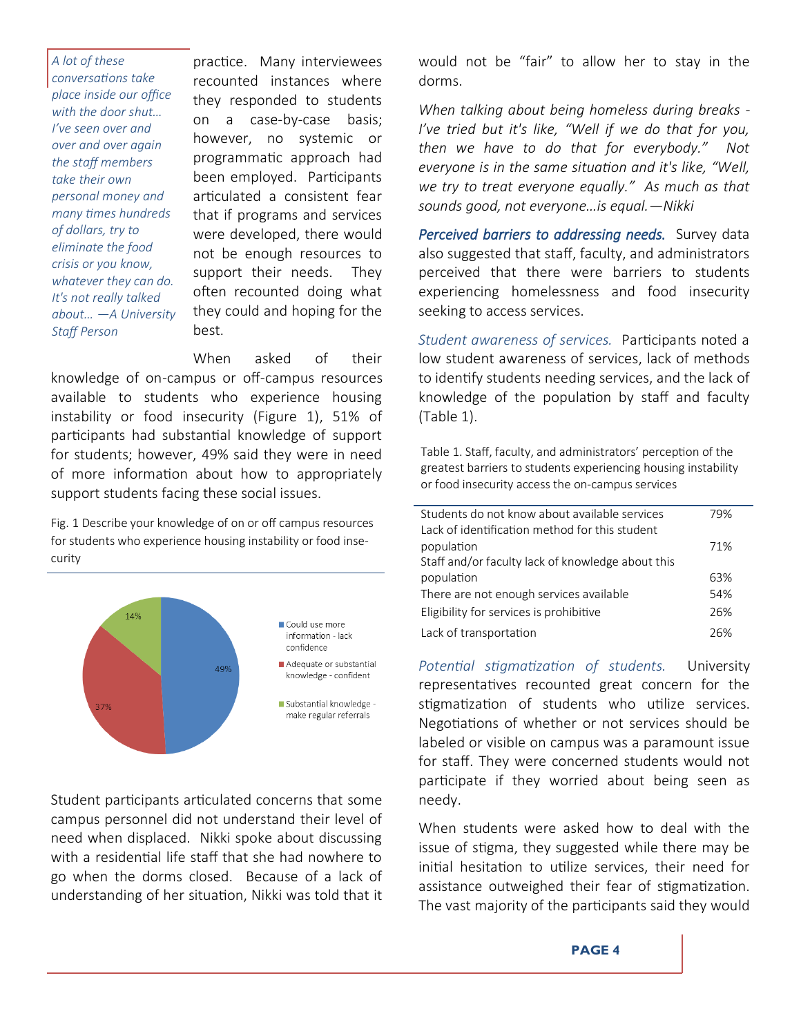*A lot of these conversations take place inside our office with the door shut… I've seen over and over and over again the staff members take their own personal money and many times hundreds of dollars, try to eliminate the food crisis or you know, whatever they can do. It's not really talked about… —A University Staff Person*

practice. Many interviewees recounted instances where they responded to students on a case-by-case basis; however, no systemic or programmatic approach had been employed. Participants articulated a consistent fear that if programs and services were developed, there would not be enough resources to support their needs. They often recounted doing what they could and hoping for the best.

When asked of their knowledge of on-campus or off-campus resources available to students who experience housing instability or food insecurity (Figure 1), 51% of participants had substantial knowledge of support for students; however, 49% said they were in need of more information about how to appropriately support students facing these social issues.

Fig. 1 Describe your knowledge of on or off campus resources for students who experience housing instability or food insecurity



Student participants articulated concerns that some campus personnel did not understand their level of need when displaced. Nikki spoke about discussing with a residential life staff that she had nowhere to go when the dorms closed. Because of a lack of understanding of her situation, Nikki was told that it would not be "fair" to allow her to stay in the dorms.

*When talking about being homeless during breaks - I've tried but it's like, "Well if we do that for you, then we have to do that for everybody." Not everyone is in the same situation and it's like, "Well, we try to treat everyone equally." As much as that sounds good, not everyone…is equal.—Nikki*

*Perceived barriers to addressing needs.* Survey data also suggested that staff, faculty, and administrators perceived that there were barriers to students experiencing homelessness and food insecurity seeking to access services.

*Student awareness of services.* Participants noted a low student awareness of services, lack of methods to identify students needing services, and the lack of knowledge of the population by staff and faculty (Table 1).

Table 1. Staff, faculty, and administrators' perception of the greatest barriers to students experiencing housing instability or food insecurity access the on-campus services

| Students do not know about available services     | 79% |
|---------------------------------------------------|-----|
| Lack of identification method for this student    |     |
| population                                        | 71% |
| Staff and/or faculty lack of knowledge about this |     |
| population                                        | 63% |
| There are not enough services available           | 54% |
| Eligibility for services is prohibitive           | 26% |
| Lack of transportation                            | 26% |

*Potential stigmatization of students.* University representatives recounted great concern for the stigmatization of students who utilize services. Negotiations of whether or not services should be labeled or visible on campus was a paramount issue for staff. They were concerned students would not participate if they worried about being seen as needy.

When students were asked how to deal with the issue of stigma, they suggested while there may be initial hesitation to utilize services, their need for assistance outweighed their fear of stigmatization. The vast majority of the participants said they would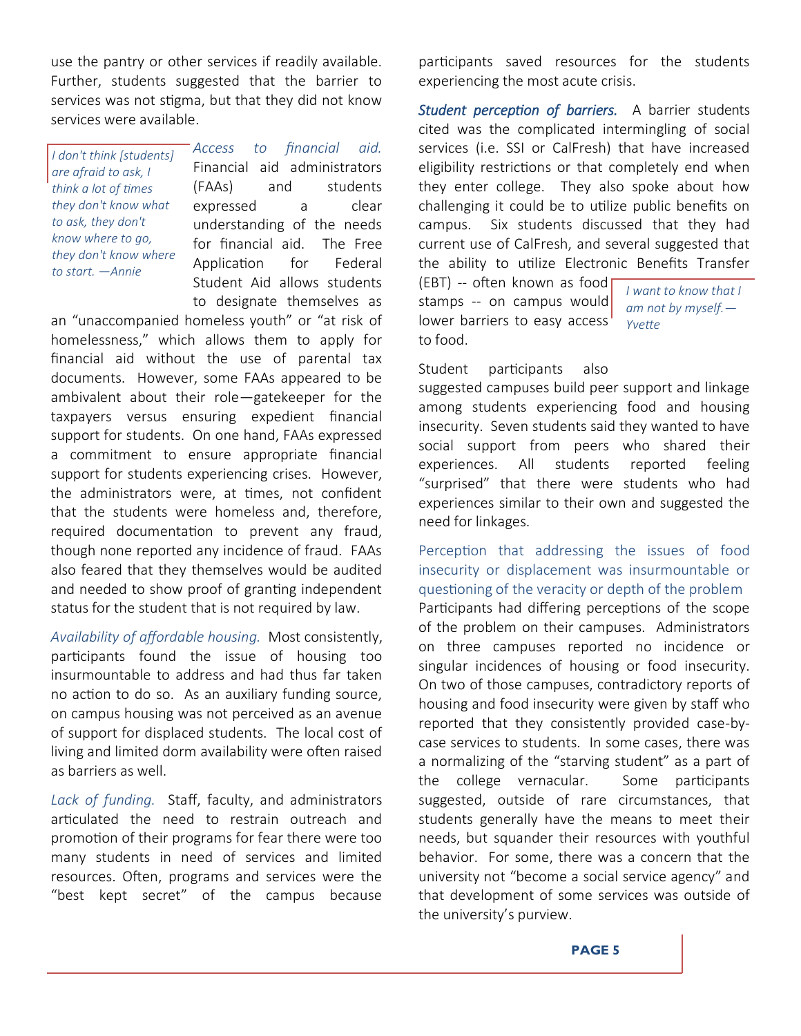use the pantry or other services if readily available. Further, students suggested that the barrier to services was not stigma, but that they did not know services were available.

*I don't think [students] are afraid to ask, I think a lot of times they don't know what to ask, they don't know where to go, they don't know where to start. —Annie*

*Access to financial aid.*  Financial aid administrators (FAAs) and students expressed a clear understanding of the needs for financial aid. The Free Application for Federal Student Aid allows students to designate themselves as

an "unaccompanied homeless youth" or "at risk of homelessness," which allows them to apply for financial aid without the use of parental tax documents. However, some FAAs appeared to be ambivalent about their role—gatekeeper for the taxpayers versus ensuring expedient financial support for students. On one hand, FAAs expressed a commitment to ensure appropriate financial support for students experiencing crises. However, the administrators were, at times, not confident that the students were homeless and, therefore, required documentation to prevent any fraud, though none reported any incidence of fraud. FAAs also feared that they themselves would be audited and needed to show proof of granting independent status for the student that is not required by law.

*Availability of affordable housing.* Most consistently, participants found the issue of housing too insurmountable to address and had thus far taken no action to do so. As an auxiliary funding source, on campus housing was not perceived as an avenue of support for displaced students. The local cost of living and limited dorm availability were often raised as barriers as well.

*Lack of funding.* Staff, faculty, and administrators articulated the need to restrain outreach and promotion of their programs for fear there were too many students in need of services and limited resources. Often, programs and services were the "best kept secret" of the campus because participants saved resources for the students experiencing the most acute crisis.

*Student perception of barriers.* A barrier students cited was the complicated intermingling of social services (i.e. SSI or CalFresh) that have increased eligibility restrictions or that completely end when they enter college. They also spoke about how challenging it could be to utilize public benefits on campus. Six students discussed that they had current use of CalFresh, and several suggested that the ability to utilize Electronic Benefits Transfer

(EBT) -- often known as food stamps -- on campus would lower barriers to easy access' to food.

*I want to know that I am not by myself.— Yvette*

Student participants also

suggested campuses build peer support and linkage among students experiencing food and housing insecurity. Seven students said they wanted to have social support from peers who shared their experiences. All students reported feeling "surprised" that there were students who had experiences similar to their own and suggested the need for linkages.

Perception that addressing the issues of food insecurity or displacement was insurmountable or questioning of the veracity or depth of the problem Participants had differing perceptions of the scope of the problem on their campuses. Administrators on three campuses reported no incidence or singular incidences of housing or food insecurity. On two of those campuses, contradictory reports of housing and food insecurity were given by staff who reported that they consistently provided case-bycase services to students. In some cases, there was a normalizing of the "starving student" as a part of the college vernacular. Some participants suggested, outside of rare circumstances, that students generally have the means to meet their needs, but squander their resources with youthful behavior. For some, there was a concern that the university not "become a social service agency" and that development of some services was outside of the university's purview.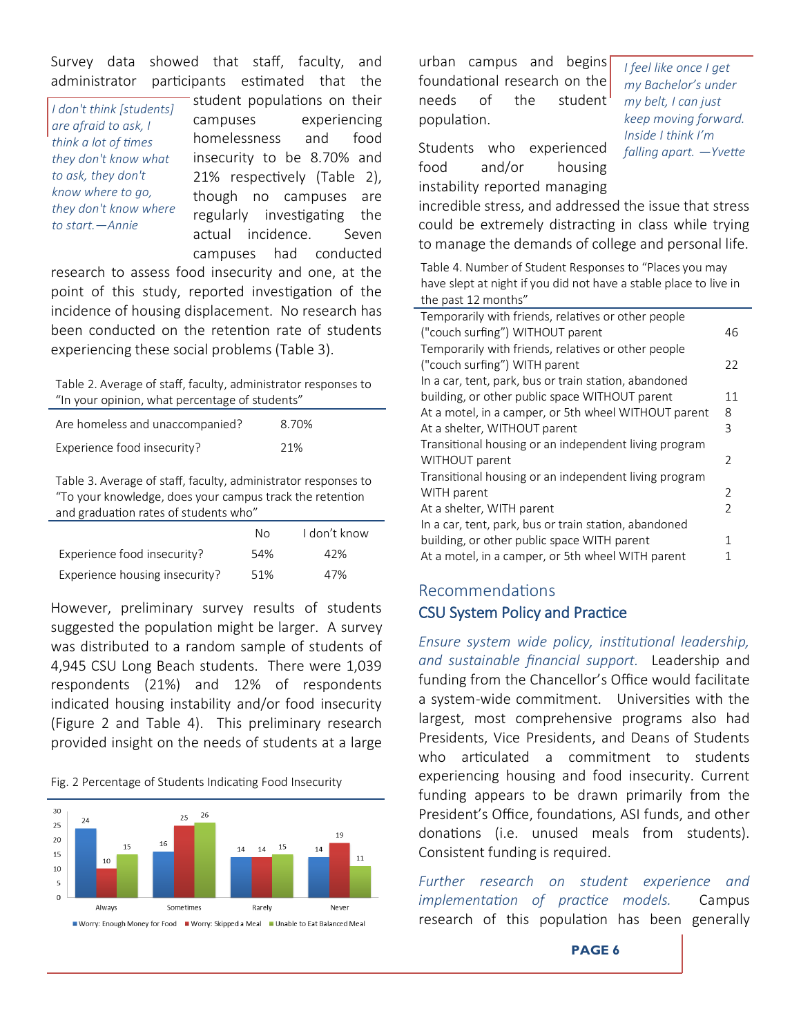Survey data showed that staff, faculty, and administrator participants estimated that the

*I don't think [students] are afraid to ask, I think a lot of times they don't know what to ask, they don't know where to go, they don't know where to start.—Annie*

student populations on their campuses experiencing homelessness and food insecurity to be 8.70% and 21% respectively (Table 2), though no campuses are regularly investigating the actual incidence. Seven campuses had conducted

research to assess food insecurity and one, at the point of this study, reported investigation of the incidence of housing displacement. No research has been conducted on the retention rate of students experiencing these social problems (Table 3).

Table 2. Average of staff, faculty, administrator responses to "In your opinion, what percentage of students"

| Are homeless and unaccompanied? | 8.70% |
|---------------------------------|-------|
| Experience food insecurity?     | 21%   |

Table 3. Average of staff, faculty, administrator responses to "To your knowledge, does your campus track the retention and graduation rates of students who"

|                                | No. | I don't know |
|--------------------------------|-----|--------------|
| Experience food insecurity?    | 54% | 42%          |
| Experience housing insecurity? | 51% | 47%          |

However, preliminary survey results of students suggested the population might be larger. A survey was distributed to a random sample of students of 4,945 CSU Long Beach students. There were 1,039 respondents (21%) and 12% of respondents indicated housing instability and/or food insecurity (Figure 2 and Table 4). This preliminary research provided insight on the needs of students at a large

Fig. 2 Percentage of Students Indicating Food Insecurity



urban campus and begins foundational research on the needs of the student population.

Students who experienced food and/or housing instability reported managing

*I feel like once I get my Bachelor's under my belt, I can just keep moving forward. Inside I think I'm falling apart. —Yvette*

incredible stress, and addressed the issue that stress could be extremely distracting in class while trying to manage the demands of college and personal life.

Table 4. Number of Student Responses to "Places you may have slept at night if you did not have a stable place to live in the past 12 months"

| Temporarily with friends, relatives or other people   |                |
|-------------------------------------------------------|----------------|
| ("couch surfing") WITHOUT parent                      | 46             |
| Temporarily with friends, relatives or other people   |                |
| ("couch surfing") WITH parent                         | 22             |
| In a car, tent, park, bus or train station, abandoned |                |
| building, or other public space WITHOUT parent        | 11             |
| At a motel, in a camper, or 5th wheel WITHOUT parent  | 8              |
| At a shelter, WITHOUT parent                          | 3              |
| Transitional housing or an independent living program |                |
| WITHOUT parent                                        | 2              |
| Transitional housing or an independent living program |                |
| WITH parent                                           | 2              |
| At a shelter, WITH parent                             | $\mathfrak{D}$ |
| In a car, tent, park, bus or train station, abandoned |                |
| building, or other public space WITH parent           | 1              |
| At a motel, in a camper, or 5th wheel WITH parent     | 1              |

# Recommendations

### CSU System Policy and Practice

*Ensure system wide policy, institutional leadership, and sustainable financial support.* Leadership and funding from the Chancellor's Office would facilitate a system-wide commitment. Universities with the largest, most comprehensive programs also had Presidents, Vice Presidents, and Deans of Students who articulated a commitment to students experiencing housing and food insecurity. Current funding appears to be drawn primarily from the President's Office, foundations, ASI funds, and other donations (i.e. unused meals from students). Consistent funding is required.

*Further research on student experience and implementation of practice models.* Campus research of this population has been generally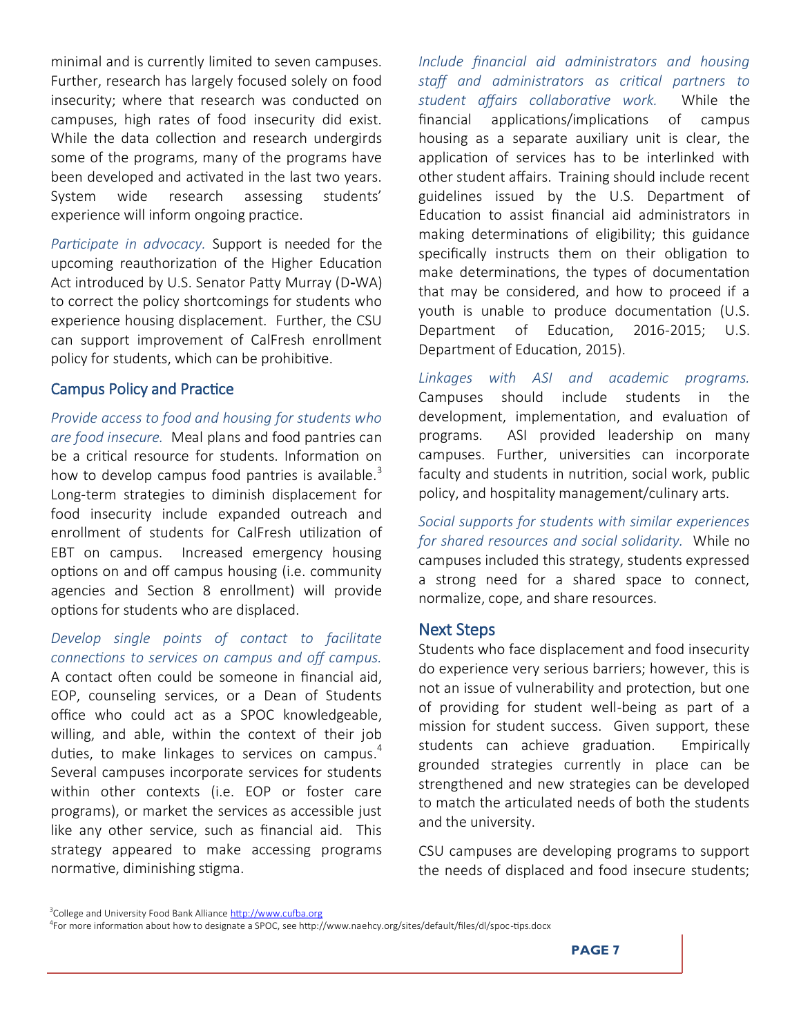minimal and is currently limited to seven campuses. Further, research has largely focused solely on food insecurity; where that research was conducted on campuses, high rates of food insecurity did exist. While the data collection and research undergirds some of the programs, many of the programs have been developed and activated in the last two years. System wide research assessing students' experience will inform ongoing practice.

*Participate in advocacy.* Support is needed for the upcoming reauthorization of the Higher Education Act introduced by U.S. Senator Patty Murray (D-WA) to correct the policy shortcomings for students who experience housing displacement. Further, the CSU can support improvement of CalFresh enrollment policy for students, which can be prohibitive.

### Campus Policy and Practice

*Provide access to food and housing for students who are food insecure.* Meal plans and food pantries can be a critical resource for students. Information on how to develop campus food pantries is available.<sup>3</sup> Long-term strategies to diminish displacement for food insecurity include expanded outreach and enrollment of students for CalFresh utilization of EBT on campus. Increased emergency housing options on and off campus housing (i.e. community agencies and Section 8 enrollment) will provide options for students who are displaced.

# *Develop single points of contact to facilitate connections to services on campus and off campus.*  A contact often could be someone in financial aid, EOP, counseling services, or a Dean of Students office who could act as a SPOC knowledgeable, willing, and able, within the context of their job duties, to make linkages to services on campus. $4$ Several campuses incorporate services for students within other contexts (i.e. EOP or foster care programs), or market the services as accessible just

like any other service, such as financial aid. This strategy appeared to make accessing programs

*Include financial aid administrators and housing staff and administrators as critical partners to student affairs collaborative work.* While the financial applications/implications of campus housing as a separate auxiliary unit is clear, the application of services has to be interlinked with other student affairs. Training should include recent guidelines issued by the U.S. Department of Education to assist financial aid administrators in making determinations of eligibility; this guidance specifically instructs them on their obligation to make determinations, the types of documentation that may be considered, and how to proceed if a youth is unable to produce documentation (U.S. Department of Education, 2016-2015; U.S. Department of Education, 2015).

*Linkages with ASI and academic programs.*  Campuses should include students in the development, implementation, and evaluation of programs. ASI provided leadership on many campuses. Further, universities can incorporate faculty and students in nutrition, social work, public policy, and hospitality management/culinary arts.

*Social supports for students with similar experiences for shared resources and social solidarity.* While no campuses included this strategy, students expressed a strong need for a shared space to connect, normalize, cope, and share resources.

#### Next Steps

Students who face displacement and food insecurity do experience very serious barriers; however, this is not an issue of vulnerability and protection, but one of providing for student well-being as part of a mission for student success. Given support, these students can achieve graduation. Empirically grounded strategies currently in place can be strengthened and new strategies can be developed to match the articulated needs of both the students and the university.

CSU campuses are developing programs to support the needs of displaced and food insecure students;

<sup>3</sup>College and University Food Bank Alliance<http://www.cufba.org>

normative, diminishing stigma.

<sup>4</sup> For more information about how to designate a SPOC, see http://www.naehcy.org/sites/default/files/dl/spoc-tips.docx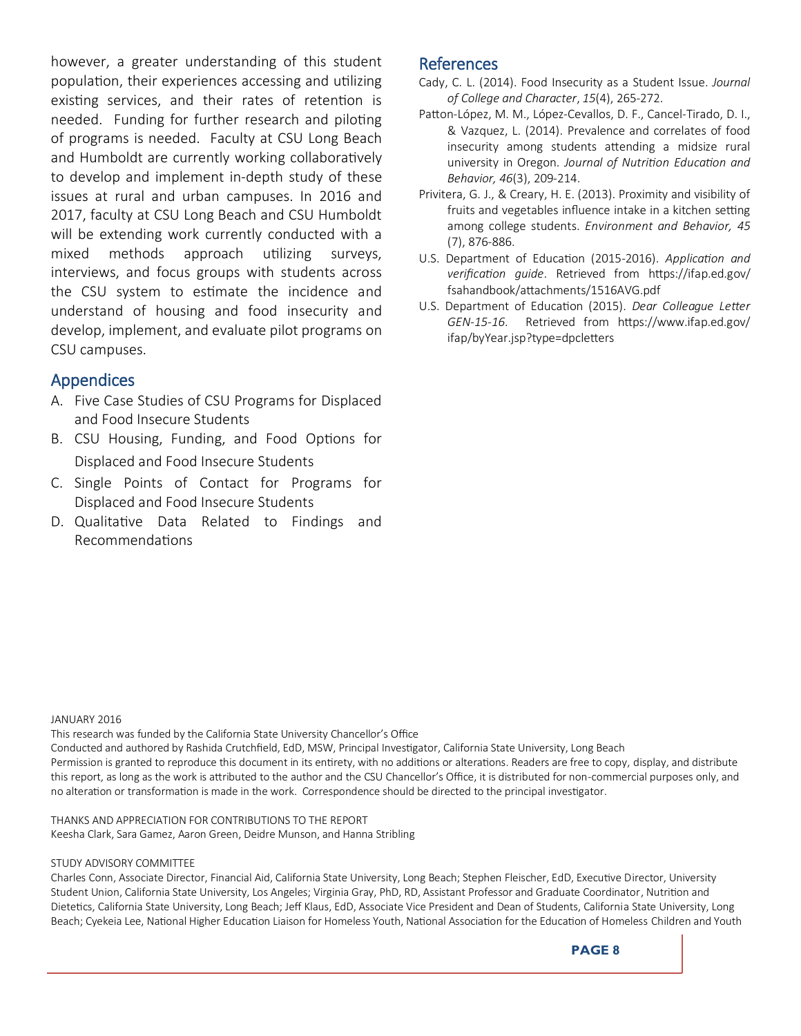however, a greater understanding of this student population, their experiences accessing and utilizing existing services, and their rates of retention is needed. Funding for further research and piloting of programs is needed. Faculty at CSU Long Beach and Humboldt are currently working collaboratively to develop and implement in-depth study of these issues at rural and urban campuses. In 2016 and 2017, faculty at CSU Long Beach and CSU Humboldt will be extending work currently conducted with a mixed methods approach utilizing surveys, interviews, and focus groups with students across the CSU system to estimate the incidence and understand of housing and food insecurity and develop, implement, and evaluate pilot programs on CSU campuses.

# Appendices

- A. Five Case Studies of CSU Programs for Displaced and Food Insecure Students
- B. CSU Housing, Funding, and Food Options for Displaced and Food Insecure Students
- C. Single Points of Contact for Programs for Displaced and Food Insecure Students
- D. Qualitative Data Related to Findings and Recommendations

# References

- Cady, C. L. (2014). Food Insecurity as a Student Issue. *Journal of College and Character*, *15*(4), 265-272.
- Patton-López, M. M., López-Cevallos, D. F., Cancel-Tirado, D. I., & Vazquez, L. (2014). Prevalence and correlates of food insecurity among students attending a midsize rural university in Oregon. *Journal of Nutrition Education and Behavior, 46*(3), 209-214.
- Privitera, G. J., & Creary, H. E. (2013). Proximity and visibility of fruits and vegetables influence intake in a kitchen setting among college students. *Environment and Behavior, 45* (7), 876-886.
- U.S. Department of Education (2015-2016). *Application and verification guide*. Retrieved from [https://ifap.ed.gov/](https://ifap.ed.gov/fsahandbook/attachments/1516AVG.pdf) [fsahandbook/attachments/1516AVG.pdf](https://ifap.ed.gov/fsahandbook/attachments/1516AVG.pdf)
- U.S. Department of Education (2015). *Dear Colleague Letter GEN-15-16*. Retrieved from [https://www.ifap.ed.gov/](https://www.ifap.ed.gov/ifap/byYear.jsp?type=dpcletters) [ifap/byYear.jsp?type=dpcletters](https://www.ifap.ed.gov/ifap/byYear.jsp?type=dpcletters)

JANUARY 2016

This research was funded by the California State University Chancellor's Office Conducted and authored by Rashida Crutchfield, EdD, MSW, Principal Investigator, California State University, Long Beach Permission is granted to reproduce this document in its entirety, with no additions or alterations. Readers are free to copy, display, and distribute this report, as long as the work is attributed to the author and the CSU Chancellor's Office, it is distributed for non-commercial purposes only, and no alteration or transformation is made in the work. Correspondence should be directed to the principal investigator.

THANKS AND APPRECIATION FOR CONTRIBUTIONS TO THE REPORT Keesha Clark, Sara Gamez, Aaron Green, Deidre Munson, and Hanna Stribling

#### STUDY ADVISORY COMMITTEE

Charles Conn, Associate Director, Financial Aid, California State University, Long Beach; Stephen Fleischer, EdD, Executive Director, University Student Union, California State University, Los Angeles; Virginia Gray, PhD, RD, Assistant Professor and Graduate Coordinator, Nutrition and Dietetics, California State University, Long Beach; Jeff Klaus, EdD, Associate Vice President and Dean of Students, California State University, Long Beach; Cyekeia Lee, National Higher Education Liaison for Homeless Youth, National Association for the Education of Homeless Children and Youth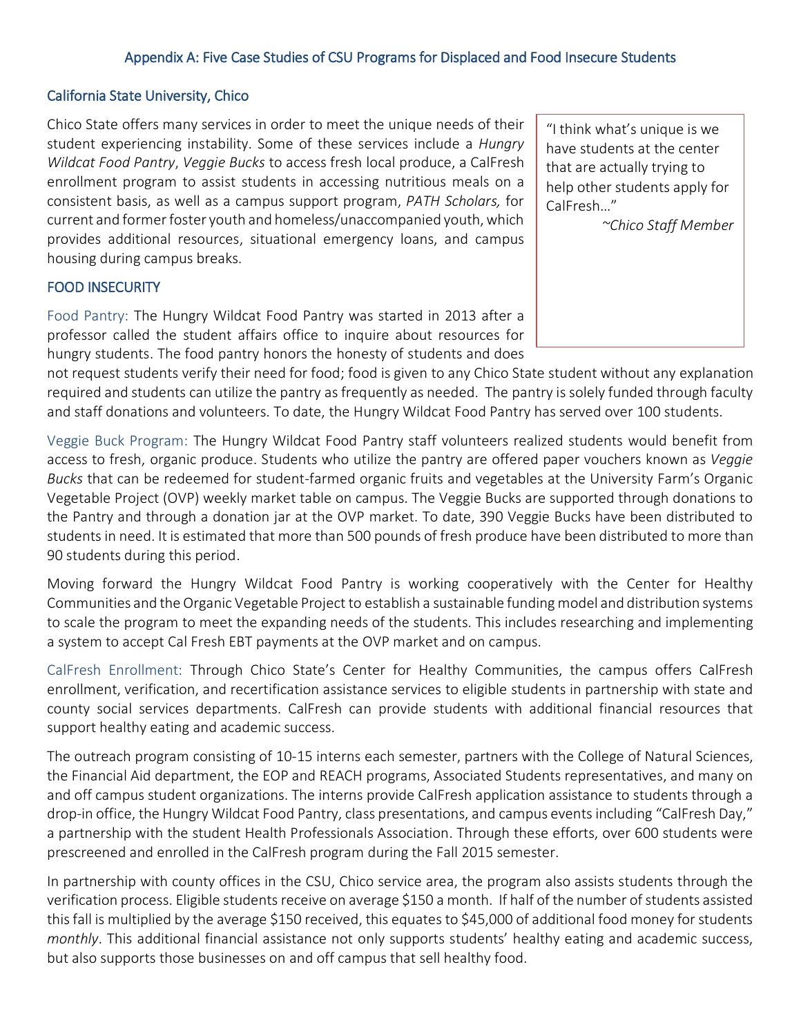#### Appendix A: Five Case Studies of CSU Programs for Displaced and Food Insecure Students

#### California State University, Chico

Chico State offers many services in order to meet the unique needs of their student experiencing instability. Some of these services include a *Hungry Wildcat Food Pantry*, *Veggie Bucks* to access fresh local produce, a CalFresh enrollment program to assist students in accessing nutritious meals on a consistent basis, as well as a campus support program, *PATH Scholars,* for current and former foster youth and homeless/unaccompanied youth, which provides additional resources, situational emergency loans, and campus housing during campus breaks.

#### FOOD INSECURITY

Food Pantry: The Hungry Wildcat Food Pantry was started in 2013 after a professor called the student affairs office to inquire about resources for hungry students. The food pantry honors the honesty of students and does

not request students verify their need for food; food is given to any Chico State student without any explanation required and students can utilize the pantry as frequently as needed. The pantry is solely funded through faculty and staff donations and volunteers. To date, the Hungry Wildcat Food Pantry has served over 100 students.

Veggie Buck Program: The Hungry Wildcat Food Pantry staff volunteers realized students would benefit from access to fresh, organic produce. Students who utilize the pantry are offered paper vouchers known as *Veggie Bucks* that can be redeemed for student-farmed organic fruits and vegetables at the University Farm's Organic Vegetable Project (OVP) weekly market table on campus. The Veggie Bucks are supported through donations to the Pantry and through a donation jar at the OVP market. To date, 390 Veggie Bucks have been distributed to students in need. It is estimated that more than 500 pounds of fresh produce have been distributed to more than 90 students during this period.

Moving forward the Hungry Wildcat Food Pantry is working cooperatively with the Center for Healthy Communities and the Organic Vegetable Project to establish a sustainable funding model and distribution systems to scale the program to meet the expanding needs of the students. This includes researching and implementing a system to accept Cal Fresh EBT payments at the OVP market and on campus.

CalFresh Enrollment: Through Chico State's Center for Healthy Communities, the campus offers CalFresh enrollment, verification, and recertification assistance services to eligible students in partnership with state and county social services departments. CalFresh can provide students with additional financial resources that support healthy eating and academic success.

The outreach program consisting of 10-15 interns each semester, partners with the College of Natural Sciences, the Financial Aid department, the EOP and REACH programs, Associated Students representatives, and many on and off campus student organizations. The interns provide CalFresh application assistance to students through a drop-in office, the Hungry Wildcat Food Pantry, class presentations, and campus events including "CalFresh Day," a partnership with the student Health Professionals Association. Through these efforts, over 600 students were prescreened and enrolled in the CalFresh program during the Fall 2015 semester.

In partnership with county offices in the CSU, Chico service area, the program also assists students through the verification process. Eligible students receive on average \$150 a month. If half of the number of students assisted this fall is multiplied by the average \$150 received, this equates to \$45,000 of additional food money for students *monthly*. This additional financial assistance not only supports students' healthy eating and academic success, but also supports those businesses on and off campus that sell healthy food.

"I think what's unique is we have students at the center that are actually trying to help other students apply for CalFresh…"

*~Chico Staff Member*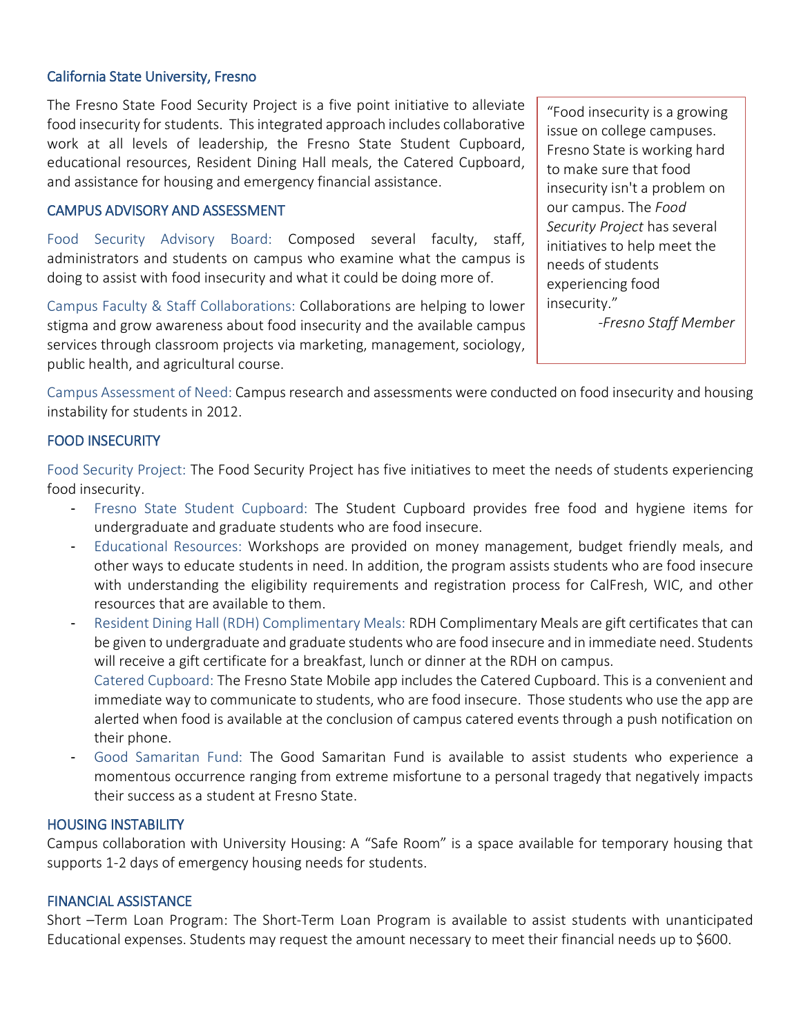#### California State University, Fresno

The Fresno State Food Security Project is a five point initiative to alleviate food insecurity for students. This integrated approach includes collaborative work at all levels of leadership, the Fresno State Student Cupboard, educational resources, Resident Dining Hall meals, the Catered Cupboard, and assistance for housing and emergency financial assistance.

#### CAMPUS ADVISORY AND ASSESSMENT

Food Security Advisory Board: Composed several faculty, staff, administrators and students on campus who examine what the campus is doing to assist with food insecurity and what it could be doing more of.

Campus Faculty & Staff Collaborations: Collaborations are helping to lower stigma and grow awareness about food insecurity and the available campus services through classroom projects via marketing, management, sociology, public health, and agricultural course.

"Food insecurity is a growing issue on college campuses. Fresno State is working hard to make sure that food insecurity isn't a problem on our campus. The *Food Security Project* has several initiatives to help meet the needs of students experiencing food insecurity." *-Fresno Staff Member*

Campus Assessment of Need: Campus research and assessments were conducted on food insecurity and housing instability for students in 2012.

#### FOOD INSECURITY

[Food Security Project:](http://www.fresnostate.edu/studentaffairs/foodsecurity/) The Food Security Project has five initiatives to meet the needs of students experiencing food insecurity.

- [Fresno State Student Cupboard:](http://www.fresnostate.edu/studentaffairs/foodsecurity/student-cupboard.html) The Student Cupboard provides free food and hygiene items for undergraduate and graduate students who are food insecure.
- [Educational Resources:](http://www.fresnostate.edu/studentaffairs/foodsecurity/presentations.html) Workshops are provided on money management, budget friendly meals, and other ways to educate students in need. In addition, the program assists students who are food insecure with understanding the eligibility requirements and registration process for CalFresh, WIC, and other resources that are available to them.
- [Resident Dining Hall \(RDH\) Complimentary Meals:](http://www.fresnostate.edu/studentaffairs/foodsecurity/value-items.html) RDH Complimentary Meals are gift certificates that can be given to undergraduate and graduate students who are food insecure and in immediate need. Students will receive a gift certificate for a breakfast, lunch or dinner at the RDH on campus. [Catered Cupboard:](http://www.fresnostate.edu/studentaffairs/foodsecurity/mobile-app.html) The Fresno State Mobile app includes the Catered Cupboard. This is a convenient and immediate way to communicate to students, who are food insecure. Those students who use the app are alerted when food is available at the conclusion of campus catered events through a push notification on their phone.
- [Good Samaritan Fund:](http://www.fresnostate.edu/studentaffairs/foodsecurity/good-samaritan-fund.html) The Good Samaritan Fund is available to assist students who experience a momentous occurrence ranging from extreme misfortune to a personal tragedy that negatively impacts their success as a student at Fresno State.

#### HOUSING INSTABILITY

Campus collaboration with University Housing: A "Safe Room" is a space available for temporary housing that supports 1-2 days of emergency housing needs for students.

#### FINANCIAL ASSISTANCE

[Short –Term Loan Program:](http://www.fresnostate.edu/studentaffairs/financialaid/grants-loans/loans/emergency.html) The Short-Term Loan Program is available to assist students with unanticipated Educational expenses. Students may request the amount necessary to meet their financial needs up to \$600.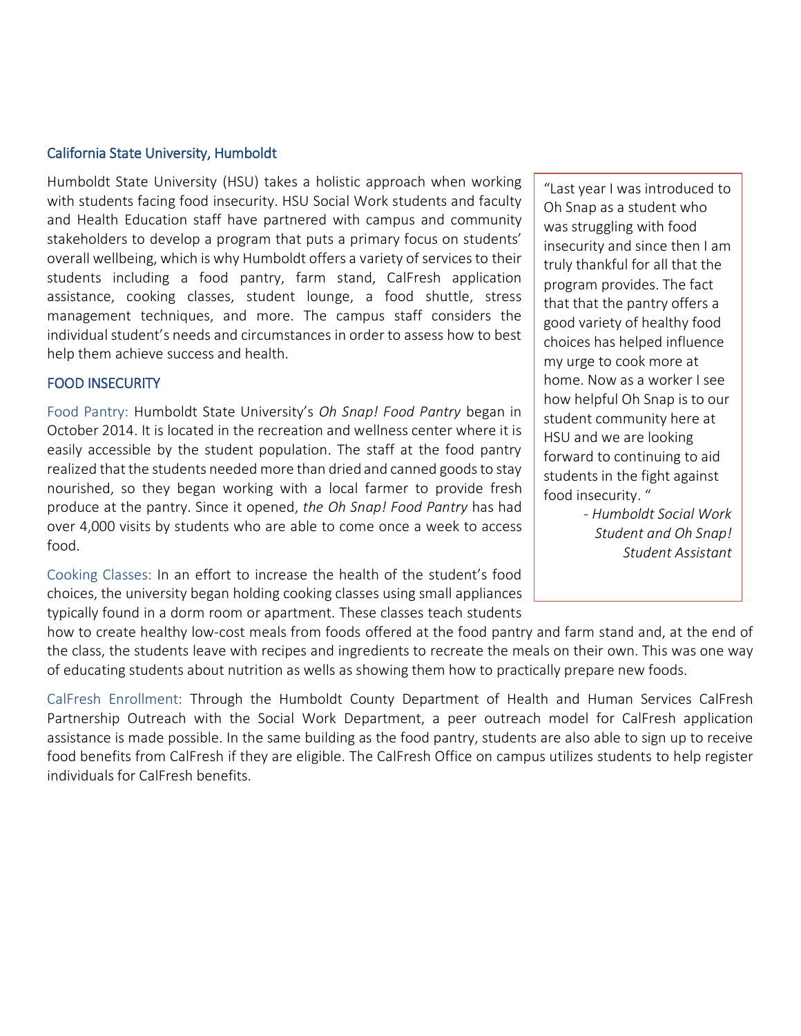#### California State University, Humboldt

Humboldt State University (HSU) takes a holistic approach when working with students facing food insecurity. HSU Social Work students and faculty and Health Education staff have partnered with campus and community stakeholders to develop a program that puts a primary focus on students' overall wellbeing, which is why Humboldt offers a variety of services to their students including a food pantry, farm stand, CalFresh application assistance, cooking classes, student lounge, a food shuttle, stress management techniques, and more. The campus staff considers the individual student's needs and circumstances in order to assess how to best help them achieve success and health.

#### FOOD INSECURITY

Food Pantry: Humboldt State University's *Oh Snap! Food Pantry* began in October 2014. It is located in the recreation and wellness center where it is easily accessible by the student population. The staff at the food pantry realized that the students needed more than dried and canned goods to stay nourished, so they began working with a local farmer to provide fresh produce at the pantry. Since it opened, *the Oh Snap! Food Pantry* has had over 4,000 visits by students who are able to come once a week to access food.

Cooking Classes: In an effort to increase the health of the student's food choices, the university began holding cooking classes using small appliances typically found in a dorm room or apartment. These classes teach students

how to create healthy low-cost meals from foods offered at the food pantry and farm stand and, at the end of the class, the students leave with recipes and ingredients to recreate the meals on their own. This was one way of educating students about nutrition as wells as showing them how to practically prepare new foods.

CalFresh Enrollment: Through the Humboldt County Department of Health and Human Services CalFresh Partnership Outreach with the Social Work Department, a peer outreach model for CalFresh application assistance is made possible. In the same building as the food pantry, students are also able to sign up to receive food benefits from CalFresh if they are eligible. The CalFresh Office on campus utilizes students to help register individuals for CalFresh benefits.

"Last year I was introduced to Oh Snap as a student who was struggling with food insecurity and since then I am truly thankful for all that the program provides. The fact that that the pantry offers a good variety of healthy food choices has helped influence my urge to cook more at home. Now as a worker I see how helpful Oh Snap is to our student community here at HSU and we are looking forward to continuing to aid students in the fight against food insecurity. "

> - *Humboldt Social Work Student and Oh Snap! Student Assistant*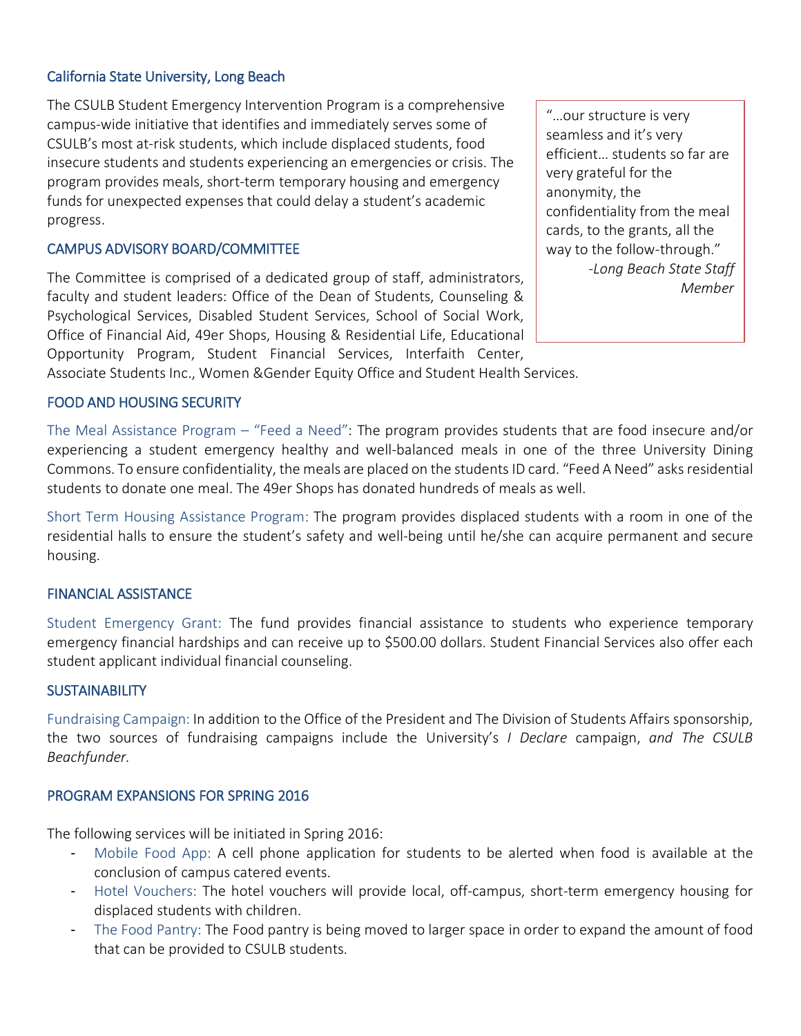## California State University, Long Beach

The [CSULB Student Emergency Intervention Program](http://web.csulb.edu/divisions/students/studentdean/emergency_grant/) is a comprehensive campus-wide initiative that identifies and immediately serves some of CSULB's most at-risk students, which include displaced students, food insecure students and students experiencing an emergencies or crisis. The program provides meals, short-term temporary housing and emergency funds for unexpected expenses that could delay a student's academic progress.

## CAMPUS ADVISORY BOARD/COMMITTEE

The Committee is comprised of a dedicated group of staff, administrators, faculty and student leaders: Office of the Dean of Students, Counseling & Psychological Services, Disabled Student Services, School of Social Work, Office of Financial Aid, 49er Shops, Housing & Residential Life, Educational Opportunity Program, Student Financial Services, Interfaith Center,

"…our structure is very seamless and it's very efficient… students so far are very grateful for the anonymity, the confidentiality from the meal cards, to the grants, all the way to the follow-through." *-Long Beach State Staff Member*

Associate Students Inc., Women &Gender Equity Office and Student Health Services.

#### FOOD AND HOUSING SECURITY

The Meal Assistance Program – "Feed a Need": The program provides students that are food insecure and/or experiencing a student emergency healthy and well-balanced meals in one of the three University Dining Commons. To ensure confidentiality, the meals are placed on the students ID card. "Feed A Need" asks residential students to donate one meal. The 49er Shops has donated hundreds of meals as well.

Short Term Housing Assistance Program: The program provides displaced students with a room in one of the residential halls to ensure the student's safety and well-being until he/she can acquire permanent and secure housing.

### FINANCIAL ASSISTANCE

Student Emergency Grant: The fund provides financial assistance to students who experience temporary emergency financial hardships and can receive up to \$500.00 dollars. Student Financial Services also offer each student applicant individual financial counseling.

#### **SUSTAINABILITY**

[Fundraising](http://web.csulb.edu/divisions/students/studentdean/emergency_grant/fundraising.htm) Campaign: In addition to the Office of the President and The Division of Students Affairs sponsorship, the two sources of fundraising campaigns include the University's *I Declare* campaign, *and The CSULB Beachfunder.*

### PROGRAM EXPANSIONS FOR SPRING 2016

The following services will be initiated in Spring 2016:

- Mobile Food App: A cell phone application for students to be alerted when food is available at the conclusion of campus catered events.
- Hotel Vouchers: The hotel vouchers will provide local, off-campus, short-term emergency housing for displaced students with children.
- The Food Pantry: The Food pantry is being moved to larger space in order to expand the amount of food that can be provided to CSULB students.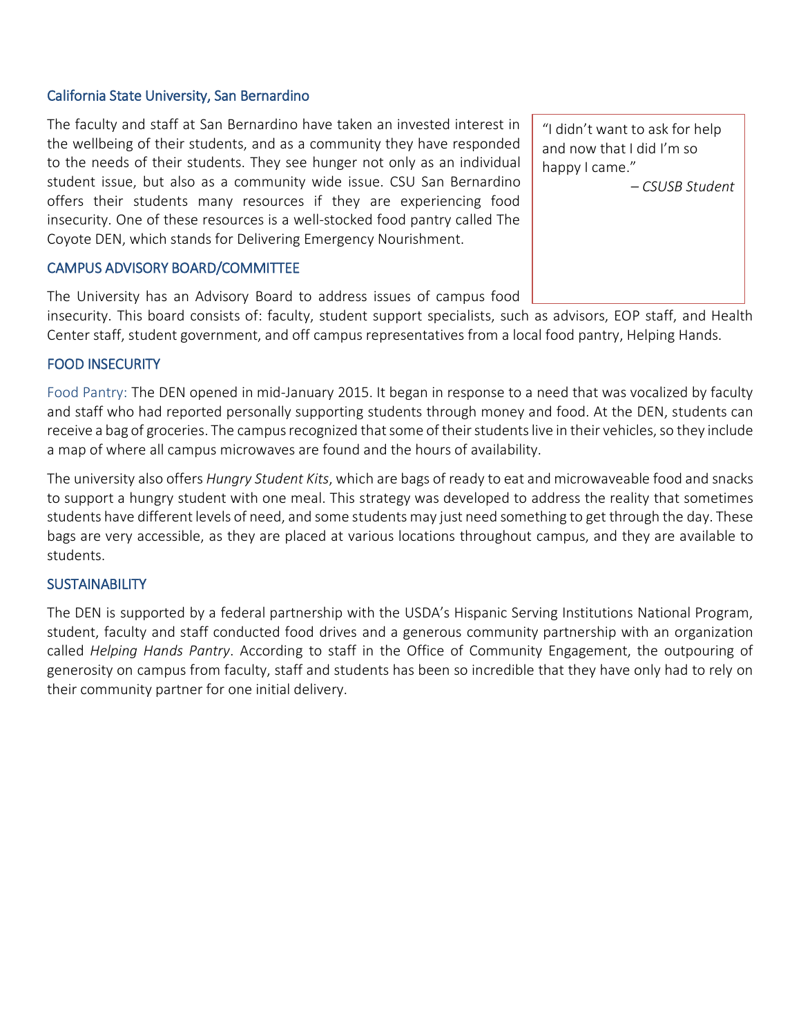#### California State University, San Bernardino

The faculty and staff at San Bernardino have taken an invested interest in the wellbeing of their students, and as a community they have responded to the needs of their students. They see hunger not only as an individual student issue, but also as a community wide issue. CSU San Bernardino offers their students many resources if they are experiencing food insecurity. One of these resources is a well-stocked food pantry called The Coyote DEN, which stands for Delivering Emergency Nourishment.

#### CAMPUS ADVISORY BOARD/COMMITTEE

The University has an Advisory Board to address issues of campus food

insecurity. This board consists of: faculty, student support specialists, such as advisors, EOP staff, and Health Center staff, student government, and off campus representatives from a local food pantry, Helping Hands.

### FOOD INSECURITY

Food Pantry: The DEN opened in mid-January 2015. It began in response to a need that was vocalized by faculty and staff who had reported personally supporting students through money and food. At the DEN, students can receive a bag of groceries. The campus recognized that some of their students live in their vehicles, so they include a map of where all campus microwaves are found and the hours of availability.

The university also offers *Hungry Student Kits*, which are bags of ready to eat and microwaveable food and snacks to support a hungry student with one meal. This strategy was developed to address the reality that sometimes students have different levels of need, and some students may just need something to get through the day. These bags are very accessible, as they are placed at various locations throughout campus, and they are available to students.

#### **SUSTAINABILITY**

The DEN is supported by a federal partnership with the USDA's Hispanic Serving Institutions National Program, student, faculty and staff conducted food drives and a generous community partnership with an organization called *Helping Hands Pantry*. According to staff in the Office of Community Engagement, the outpouring of generosity on campus from faculty, staff and students has been so incredible that they have only had to rely on their community partner for one initial delivery.

"I didn't want to ask for help and now that I did I'm so happy I came." *– CSUSB Student*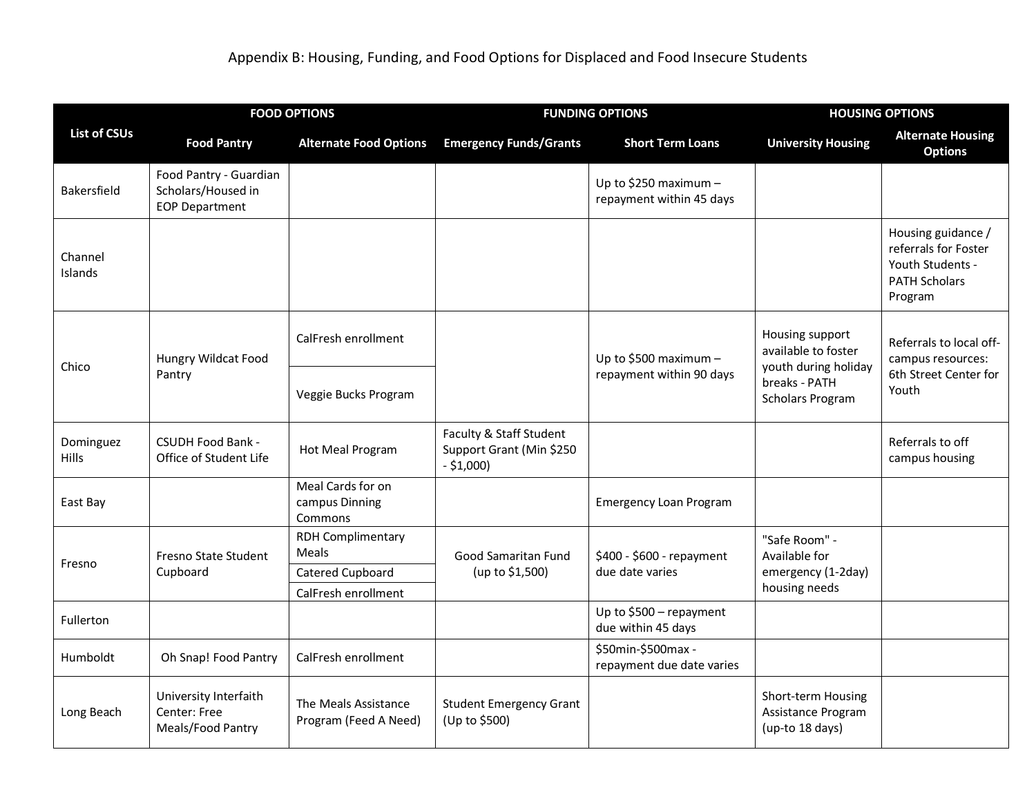|                           | <b>FOOD OPTIONS</b>                                                   |                                                | <b>FUNDING OPTIONS</b>                                            |                                                     | <b>HOUSING OPTIONS</b>                                         |                                                                                                   |
|---------------------------|-----------------------------------------------------------------------|------------------------------------------------|-------------------------------------------------------------------|-----------------------------------------------------|----------------------------------------------------------------|---------------------------------------------------------------------------------------------------|
| <b>List of CSUs</b>       | <b>Food Pantry</b>                                                    | <b>Alternate Food Options</b>                  | <b>Emergency Funds/Grants</b>                                     | <b>Short Term Loans</b>                             | <b>University Housing</b>                                      | <b>Alternate Housing</b><br><b>Options</b>                                                        |
| Bakersfield               | Food Pantry - Guardian<br>Scholars/Housed in<br><b>EOP Department</b> |                                                |                                                                   | Up to \$250 maximum $-$<br>repayment within 45 days |                                                                |                                                                                                   |
| Channel<br>Islands        |                                                                       |                                                |                                                                   |                                                     |                                                                | Housing guidance /<br>referrals for Foster<br>Youth Students -<br><b>PATH Scholars</b><br>Program |
| Chico                     | Hungry Wildcat Food                                                   | CalFresh enrollment                            |                                                                   | Up to \$500 maximum $-$                             | Housing support<br>available to foster<br>youth during holiday | Referrals to local off-<br>campus resources:                                                      |
| Pantry                    |                                                                       | Veggie Bucks Program                           |                                                                   | repayment within 90 days                            | breaks - PATH<br><b>Scholars Program</b>                       | 6th Street Center for<br>Youth                                                                    |
| Dominguez<br><b>Hills</b> | <b>CSUDH Food Bank -</b><br>Office of Student Life                    | <b>Hot Meal Program</b>                        | Faculty & Staff Student<br>Support Grant (Min \$250<br>$- $1,000$ |                                                     |                                                                | Referrals to off<br>campus housing                                                                |
| East Bay                  |                                                                       | Meal Cards for on<br>campus Dinning<br>Commons |                                                                   | <b>Emergency Loan Program</b>                       |                                                                |                                                                                                   |
|                           | Fresno State Student                                                  | <b>RDH Complimentary</b><br>Meals              | Good Samaritan Fund                                               | \$400 - \$600 - repayment                           | "Safe Room" -<br>Available for                                 |                                                                                                   |
| Fresno                    | Cupboard                                                              | Catered Cupboard                               | (up to \$1,500)                                                   | due date varies                                     | emergency (1-2day)                                             |                                                                                                   |
|                           |                                                                       | CalFresh enrollment                            |                                                                   |                                                     | housing needs                                                  |                                                                                                   |
| Fullerton                 |                                                                       |                                                |                                                                   | Up to \$500 - repayment<br>due within 45 days       |                                                                |                                                                                                   |
| Humboldt                  | Oh Snap! Food Pantry                                                  | CalFresh enrollment                            |                                                                   | \$50min-\$500max -<br>repayment due date varies     |                                                                |                                                                                                   |
| Long Beach                | University Interfaith<br>Center: Free<br>Meals/Food Pantry            | The Meals Assistance<br>Program (Feed A Need)  | <b>Student Emergency Grant</b><br>(Up to \$500)                   |                                                     | Short-term Housing<br>Assistance Program<br>(up-to 18 days)    |                                                                                                   |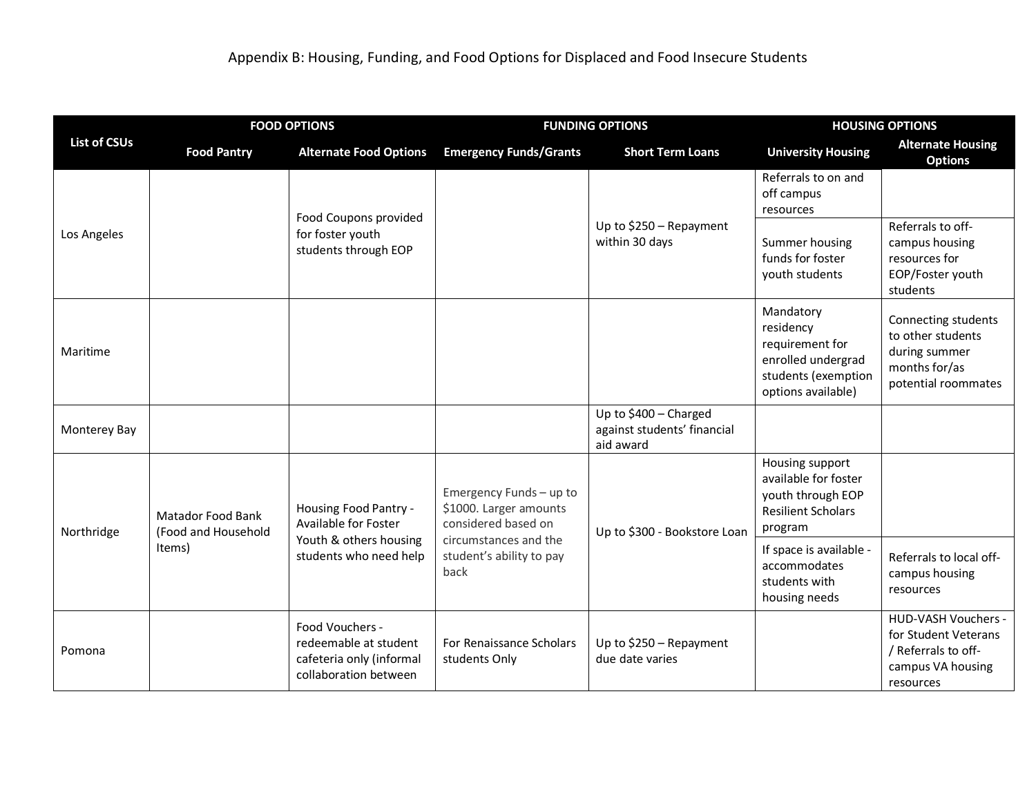|                     | <b>FOOD OPTIONS</b>                                        |                                                                                               | <b>FUNDING OPTIONS</b>                                                   |                                                                           | <b>HOUSING OPTIONS</b>                                                                                       |                                                                                                      |
|---------------------|------------------------------------------------------------|-----------------------------------------------------------------------------------------------|--------------------------------------------------------------------------|---------------------------------------------------------------------------|--------------------------------------------------------------------------------------------------------------|------------------------------------------------------------------------------------------------------|
| <b>List of CSUs</b> | <b>Food Pantry</b>                                         | <b>Alternate Food Options</b>                                                                 | <b>Emergency Funds/Grants</b>                                            | <b>Short Term Loans</b>                                                   | <b>University Housing</b>                                                                                    | <b>Alternate Housing</b><br><b>Options</b>                                                           |
|                     |                                                            |                                                                                               |                                                                          |                                                                           | Referrals to on and<br>off campus<br>resources                                                               |                                                                                                      |
| Los Angeles         |                                                            | Food Coupons provided<br>for foster youth<br>students through EOP                             |                                                                          | Up to \$250 - Repayment<br>within 30 days                                 | Summer housing<br>funds for foster<br>youth students                                                         | Referrals to off-<br>campus housing<br>resources for<br>EOP/Foster youth<br>students                 |
| Maritime            |                                                            |                                                                                               |                                                                          |                                                                           | Mandatory<br>residency<br>requirement for<br>enrolled undergrad<br>students (exemption<br>options available) | Connecting students<br>to other students<br>during summer<br>months for/as<br>potential roommates    |
| Monterey Bay        |                                                            |                                                                                               |                                                                          | Up to \$400 - Charged<br>against students' financial<br>aid award         |                                                                                                              |                                                                                                      |
| Northridge          | Matador Food Bank<br>(Food and Household                   | Housing Food Pantry -<br>Available for Foster                                                 | Emergency Funds - up to<br>\$1000. Larger amounts<br>considered based on | Up to \$300 - Bookstore Loan                                              | Housing support<br>available for foster<br>youth through EOP<br><b>Resilient Scholars</b><br>program         |                                                                                                      |
|                     | Youth & others housing<br>Items)<br>students who need help | circumstances and the<br>student's ability to pay<br>back                                     |                                                                          | If space is available -<br>accommodates<br>students with<br>housing needs | Referrals to local off-<br>campus housing<br>resources                                                       |                                                                                                      |
| Pomona              |                                                            | Food Vouchers -<br>redeemable at student<br>cafeteria only (informal<br>collaboration between | For Renaissance Scholars<br>students Only                                | Up to \$250 - Repayment<br>due date varies                                |                                                                                                              | HUD-VASH Vouchers -<br>for Student Veterans<br>/ Referrals to off-<br>campus VA housing<br>resources |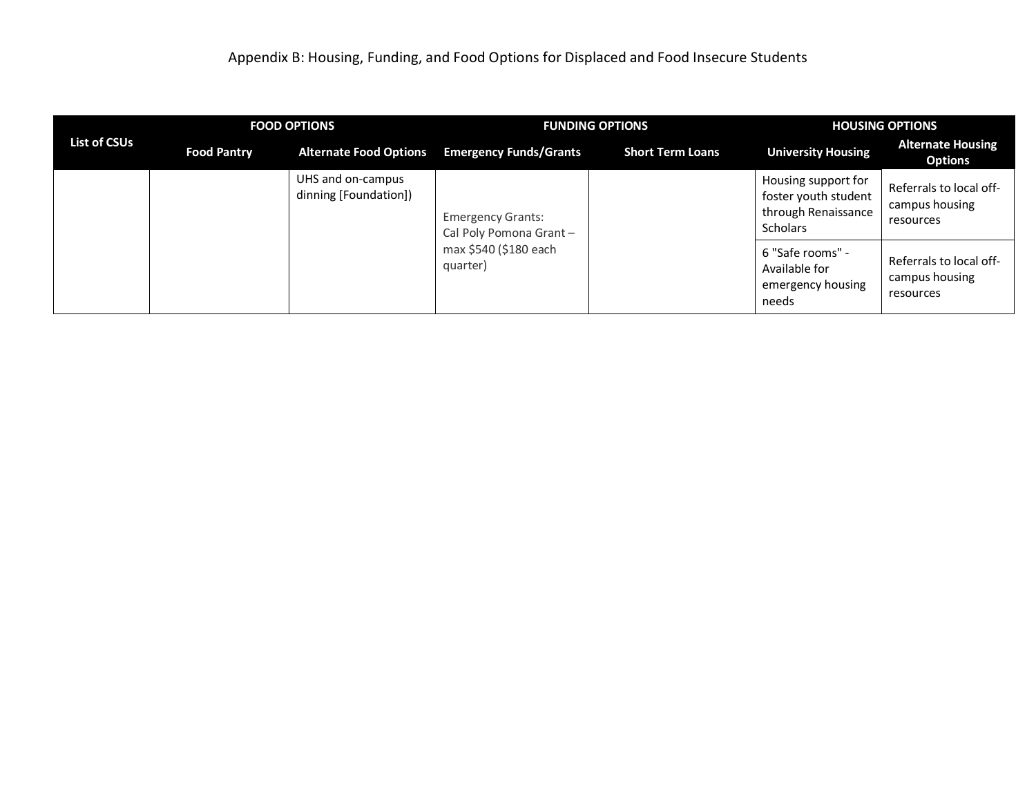| <b>FOOD OPTIONS</b> |                    | <b>FUNDING OPTIONS</b>                     |                                                    | <b>HOUSING OPTIONS</b>  |                                                                                       |                                                        |
|---------------------|--------------------|--------------------------------------------|----------------------------------------------------|-------------------------|---------------------------------------------------------------------------------------|--------------------------------------------------------|
| List of CSUs        | <b>Food Pantry</b> | <b>Alternate Food Options</b>              | <b>Emergency Funds/Grants</b>                      | <b>Short Term Loans</b> | <b>University Housing</b>                                                             | <b>Alternate Housing</b><br><b>Options</b>             |
|                     |                    | UHS and on-campus<br>dinning [Foundation]) | <b>Emergency Grants:</b><br>Cal Poly Pomona Grant- |                         | Housing support for<br>foster youth student<br>through Renaissance<br><b>Scholars</b> | Referrals to local off-<br>campus housing<br>resources |
|                     |                    |                                            | max \$540 (\$180 each<br>quarter)                  |                         | 6 "Safe rooms" -<br>Available for<br>emergency housing<br>needs                       | Referrals to local off-<br>campus housing<br>resources |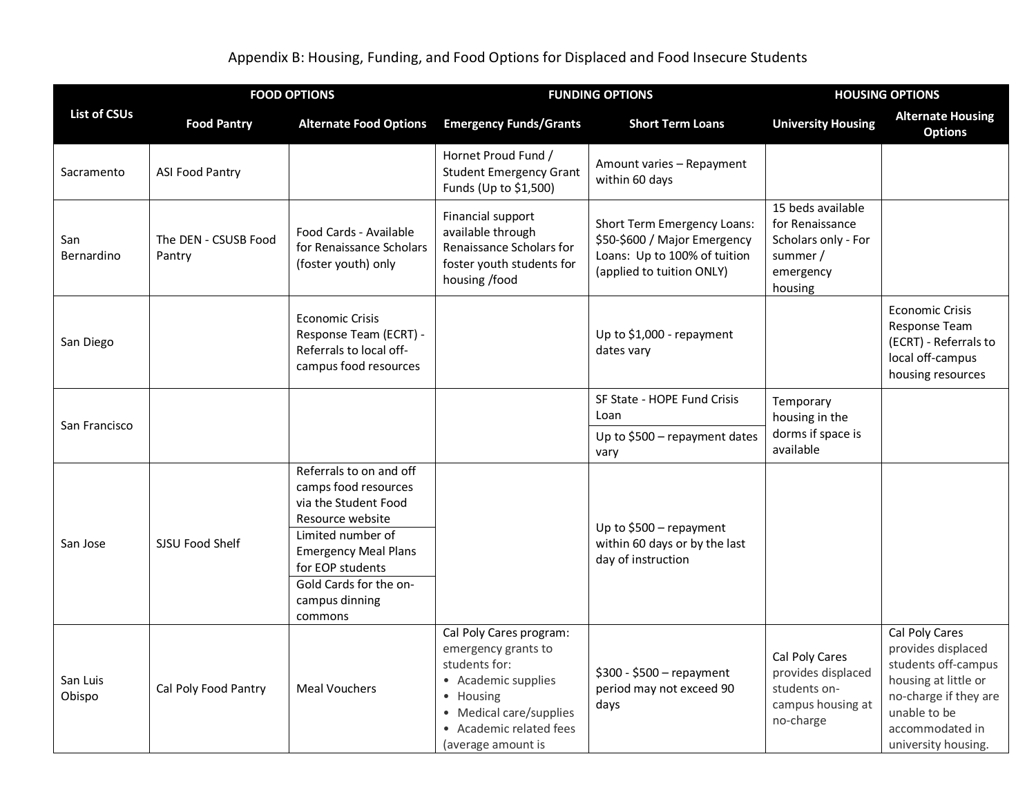# Appendix B: Housing, Funding, and Food Options for Displaced and Food Insecure Students

|                     |                                | <b>FOOD OPTIONS</b><br><b>FUNDING OPTIONS</b>                                                                                                                                                                              |                                                                                                                                                                                 | <b>HOUSING OPTIONS</b>                                                                                                   |                                                                                                 |                                                                                                                                                                        |
|---------------------|--------------------------------|----------------------------------------------------------------------------------------------------------------------------------------------------------------------------------------------------------------------------|---------------------------------------------------------------------------------------------------------------------------------------------------------------------------------|--------------------------------------------------------------------------------------------------------------------------|-------------------------------------------------------------------------------------------------|------------------------------------------------------------------------------------------------------------------------------------------------------------------------|
| <b>List of CSUs</b> | <b>Food Pantry</b>             | <b>Alternate Food Options</b>                                                                                                                                                                                              | <b>Emergency Funds/Grants</b>                                                                                                                                                   | <b>Short Term Loans</b>                                                                                                  | <b>University Housing</b>                                                                       | <b>Alternate Housing</b><br><b>Options</b>                                                                                                                             |
| Sacramento          | <b>ASI Food Pantry</b>         |                                                                                                                                                                                                                            | Hornet Proud Fund /<br><b>Student Emergency Grant</b><br>Funds (Up to \$1,500)                                                                                                  | Amount varies - Repayment<br>within 60 days                                                                              |                                                                                                 |                                                                                                                                                                        |
| San<br>Bernardino   | The DEN - CSUSB Food<br>Pantry | Food Cards - Available<br>for Renaissance Scholars<br>(foster youth) only                                                                                                                                                  | Financial support<br>available through<br>Renaissance Scholars for<br>foster youth students for<br>housing /food                                                                | Short Term Emergency Loans:<br>\$50-\$600 / Major Emergency<br>Loans: Up to 100% of tuition<br>(applied to tuition ONLY) | 15 beds available<br>for Renaissance<br>Scholars only - For<br>summer /<br>emergency<br>housing |                                                                                                                                                                        |
| San Diego           |                                | <b>Economic Crisis</b><br>Response Team (ECRT) -<br>Referrals to local off-<br>campus food resources                                                                                                                       |                                                                                                                                                                                 | Up to \$1,000 - repayment<br>dates vary                                                                                  |                                                                                                 | <b>Economic Crisis</b><br>Response Team<br>(ECRT) - Referrals to<br>local off-campus<br>housing resources                                                              |
|                     |                                |                                                                                                                                                                                                                            |                                                                                                                                                                                 | SF State - HOPE Fund Crisis<br>Loan                                                                                      | Temporary<br>housing in the                                                                     |                                                                                                                                                                        |
| San Francisco       |                                |                                                                                                                                                                                                                            |                                                                                                                                                                                 | Up to \$500 - repayment dates<br>vary                                                                                    | dorms if space is<br>available                                                                  |                                                                                                                                                                        |
| San Jose            | SJSU Food Shelf                | Referrals to on and off<br>camps food resources<br>via the Student Food<br>Resource website<br>Limited number of<br><b>Emergency Meal Plans</b><br>for EOP students<br>Gold Cards for the on-<br>campus dinning<br>commons |                                                                                                                                                                                 | Up to \$500 - repayment<br>within 60 days or by the last<br>day of instruction                                           |                                                                                                 |                                                                                                                                                                        |
| San Luis<br>Obispo  | Cal Poly Food Pantry           | <b>Meal Vouchers</b>                                                                                                                                                                                                       | Cal Poly Cares program:<br>emergency grants to<br>students for:<br>• Academic supplies<br>• Housing<br>• Medical care/supplies<br>• Academic related fees<br>(average amount is | $$300 - $500 -$ repayment<br>period may not exceed 90<br>days                                                            | Cal Poly Cares<br>provides displaced<br>students on-<br>campus housing at<br>no-charge          | Cal Poly Cares<br>provides displaced<br>students off-campus<br>housing at little or<br>no-charge if they are<br>unable to be<br>accommodated in<br>university housing. |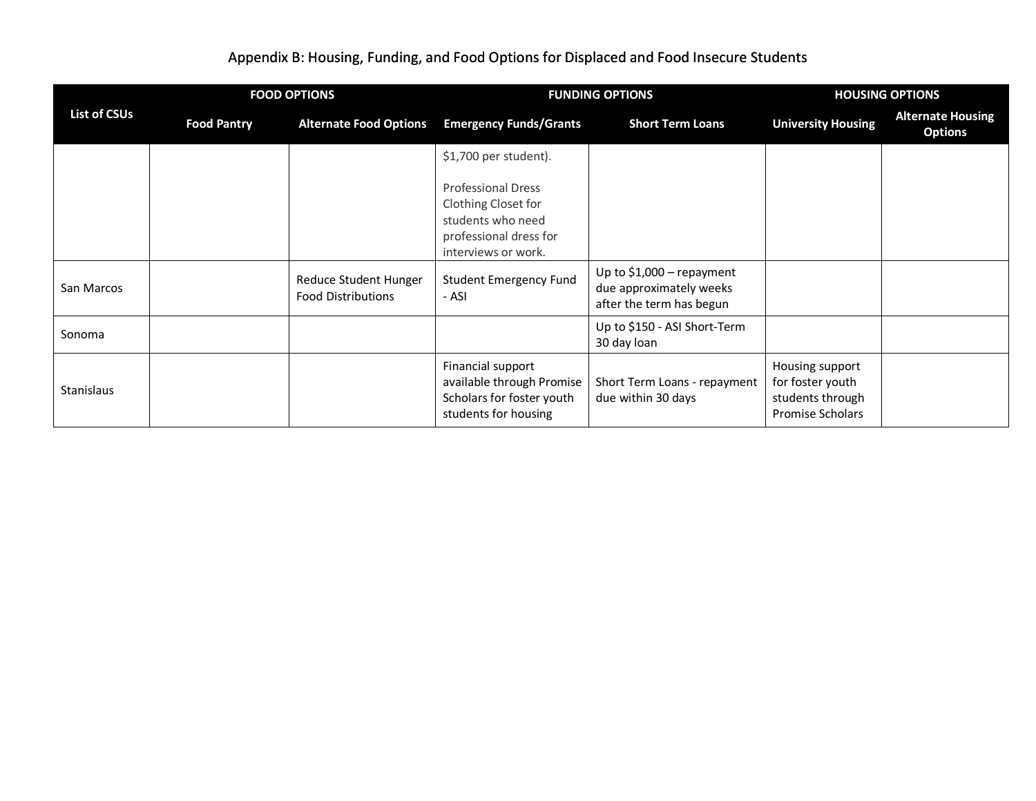# Appendix B: Housing, Funding, and Food Options for Displaced and Food Insecure Students

|              | <b>FOOD OPTIONS</b> |                                                    | <b>FUNDING OPTIONS</b>                                                                                                 |                                                                                   | <b>HOUSING OPTIONS</b>                                                      |                                            |
|--------------|---------------------|----------------------------------------------------|------------------------------------------------------------------------------------------------------------------------|-----------------------------------------------------------------------------------|-----------------------------------------------------------------------------|--------------------------------------------|
| List of CSUs | <b>Food Pantry</b>  | <b>Alternate Food Options</b>                      | <b>Emergency Funds/Grants</b>                                                                                          | <b>Short Term Loans</b>                                                           | <b>University Housing</b>                                                   | <b>Alternate Housing</b><br><b>Options</b> |
|              |                     |                                                    | \$1,700 per student).                                                                                                  |                                                                                   |                                                                             |                                            |
|              |                     |                                                    | <b>Professional Dress</b><br>Clothing Closet for<br>students who need<br>professional dress for<br>interviews or work. |                                                                                   |                                                                             |                                            |
| San Marcos   |                     | Reduce Student Hunger<br><b>Food Distributions</b> | <b>Student Emergency Fund</b><br>- ASI                                                                                 | Up to $$1,000$ – repayment<br>due approximately weeks<br>after the term has begun |                                                                             |                                            |
| Sonoma       |                     |                                                    |                                                                                                                        | Up to \$150 - ASI Short-Term<br>30 day loan                                       |                                                                             |                                            |
| Stanislaus   |                     |                                                    | Financial support<br>available through Promise<br>Scholars for foster youth<br>students for housing                    | Short Term Loans - repayment<br>due within 30 days                                | Housing support<br>for foster youth<br>students through<br>Promise Scholars |                                            |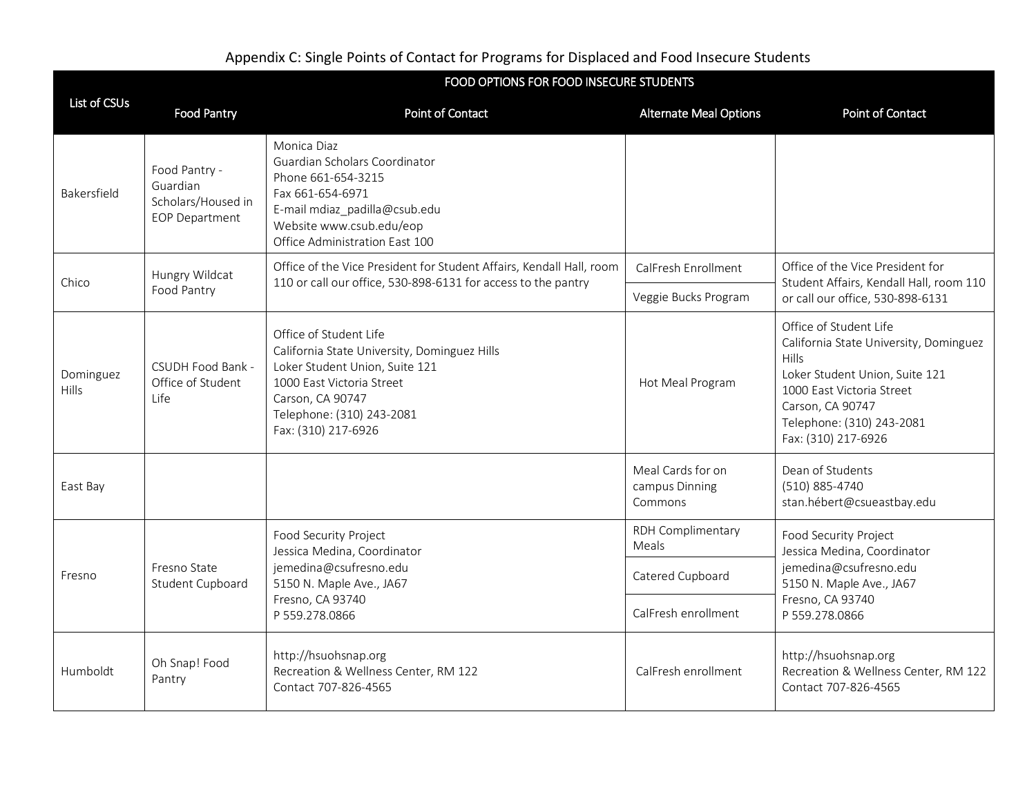$\overline{z}$ 

|                           | <b>FOOD OPTIONS FOR FOOD INSECURE STUDENTS</b>                           |                                                                                                                                                                                                               |                                                |                                                                                                                                                                                                                  |  |
|---------------------------|--------------------------------------------------------------------------|---------------------------------------------------------------------------------------------------------------------------------------------------------------------------------------------------------------|------------------------------------------------|------------------------------------------------------------------------------------------------------------------------------------------------------------------------------------------------------------------|--|
| List of CSUs              | <b>Food Pantry</b>                                                       | Point of Contact                                                                                                                                                                                              | <b>Alternate Meal Options</b>                  | Point of Contact                                                                                                                                                                                                 |  |
| Bakersfield               | Food Pantry -<br>Guardian<br>Scholars/Housed in<br><b>EOP Department</b> | Monica Diaz<br>Guardian Scholars Coordinator<br>Phone 661-654-3215<br>Fax 661-654-6971<br>E-mail mdiaz_padilla@csub.edu<br>Website www.csub.edu/eop<br>Office Administration East 100                         |                                                |                                                                                                                                                                                                                  |  |
| Chico                     | Hungry Wildcat                                                           | Office of the Vice President for Student Affairs, Kendall Hall, room<br>110 or call our office, 530-898-6131 for access to the pantry                                                                         | CalFresh Enrollment                            | Office of the Vice President for<br>Student Affairs, Kendall Hall, room 110                                                                                                                                      |  |
|                           | Food Pantry                                                              |                                                                                                                                                                                                               | Veggie Bucks Program                           | or call our office, 530-898-6131                                                                                                                                                                                 |  |
| Dominguez<br><b>Hills</b> | CSUDH Food Bank -<br>Office of Student<br>Life                           | Office of Student Life<br>California State University, Dominguez Hills<br>Loker Student Union, Suite 121<br>1000 East Victoria Street<br>Carson, CA 90747<br>Telephone: (310) 243-2081<br>Fax: (310) 217-6926 | Hot Meal Program                               | Office of Student Life<br>California State University, Dominguez<br>Hills<br>Loker Student Union, Suite 121<br>1000 East Victoria Street<br>Carson, CA 90747<br>Telephone: (310) 243-2081<br>Fax: (310) 217-6926 |  |
| East Bay                  |                                                                          |                                                                                                                                                                                                               | Meal Cards for on<br>campus Dinning<br>Commons | Dean of Students<br>(510) 885-4740<br>stan.hébert@csueastbay.edu                                                                                                                                                 |  |
|                           |                                                                          | Food Security Project<br>Jessica Medina, Coordinator                                                                                                                                                          | RDH Complimentary<br>Meals                     | Food Security Project<br>Jessica Medina, Coordinator                                                                                                                                                             |  |
| Fresno                    | Fresno State<br>Student Cupboard                                         | jemedina@csufresno.edu<br>5150 N. Maple Ave., JA67<br>Fresno, CA 93740<br>P 559.278.0866                                                                                                                      | Catered Cupboard                               | jemedina@csufresno.edu<br>5150 N. Maple Ave., JA67                                                                                                                                                               |  |
|                           |                                                                          |                                                                                                                                                                                                               | CalFresh enrollment                            | Fresno, CA 93740<br>P 559.278.0866                                                                                                                                                                               |  |
| Humboldt                  | Oh Snap! Food<br>Pantry                                                  | http://hsuohsnap.org<br>Recreation & Wellness Center, RM 122<br>Contact 707-826-4565                                                                                                                          | CalFresh enrollment                            | http://hsuohsnap.org<br>Recreation & Wellness Center, RM 122<br>Contact 707-826-4565                                                                                                                             |  |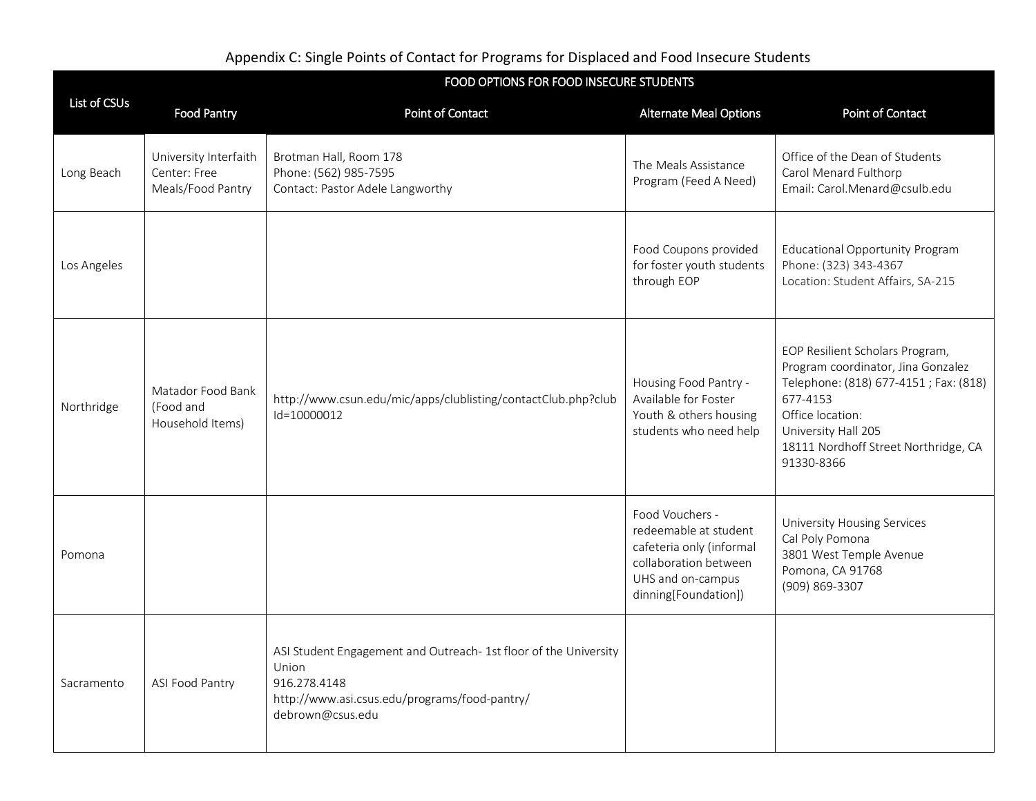#### Appendix C: Single Points of Contact for Programs for Displaced and Food Insecure Students FOOD OPTIONS FOR FOOD INSECURE STUDENTS

|              | <b>FOOD OPTIONS FOR FOOD INSECURE STUDENTS</b>             |                                                                                                                                                                |                                                                                                                                            |                                                                                                                                                                                                                              |
|--------------|------------------------------------------------------------|----------------------------------------------------------------------------------------------------------------------------------------------------------------|--------------------------------------------------------------------------------------------------------------------------------------------|------------------------------------------------------------------------------------------------------------------------------------------------------------------------------------------------------------------------------|
| List of CSUs | <b>Food Pantry</b>                                         | Point of Contact                                                                                                                                               | <b>Alternate Meal Options</b>                                                                                                              | Point of Contact                                                                                                                                                                                                             |
| Long Beach   | University Interfaith<br>Center: Free<br>Meals/Food Pantry | Brotman Hall, Room 178<br>Phone: (562) 985-7595<br>Contact: Pastor Adele Langworthy                                                                            | The Meals Assistance<br>Program (Feed A Need)                                                                                              | Office of the Dean of Students<br>Carol Menard Fulthorp<br>Email: Carol.Menard@csulb.edu                                                                                                                                     |
| Los Angeles  |                                                            |                                                                                                                                                                | Food Coupons provided<br>for foster youth students<br>through EOP                                                                          | <b>Educational Opportunity Program</b><br>Phone: (323) 343-4367<br>Location: Student Affairs, SA-215                                                                                                                         |
| Northridge   | Matador Food Bank<br>(Food and<br>Household Items)         | http://www.csun.edu/mic/apps/clublisting/contactClub.php?club<br>Id=10000012                                                                                   | Housing Food Pantry -<br>Available for Foster<br>Youth & others housing<br>students who need help                                          | EOP Resilient Scholars Program,<br>Program coordinator, Jina Gonzalez<br>Telephone: (818) 677-4151 ; Fax: (818)<br>677-4153<br>Office location:<br>University Hall 205<br>18111 Nordhoff Street Northridge, CA<br>91330-8366 |
| Pomona       |                                                            |                                                                                                                                                                | Food Vouchers -<br>redeemable at student<br>cafeteria only (informal<br>collaboration between<br>UHS and on-campus<br>dinning[Foundation]) | University Housing Services<br>Cal Poly Pomona<br>3801 West Temple Avenue<br>Pomona, CA 91768<br>(909) 869-3307                                                                                                              |
| Sacramento   | ASI Food Pantry                                            | ASI Student Engagement and Outreach- 1st floor of the University<br>Union<br>916.278.4148<br>http://www.asi.csus.edu/programs/food-pantry/<br>debrown@csus.edu |                                                                                                                                            |                                                                                                                                                                                                                              |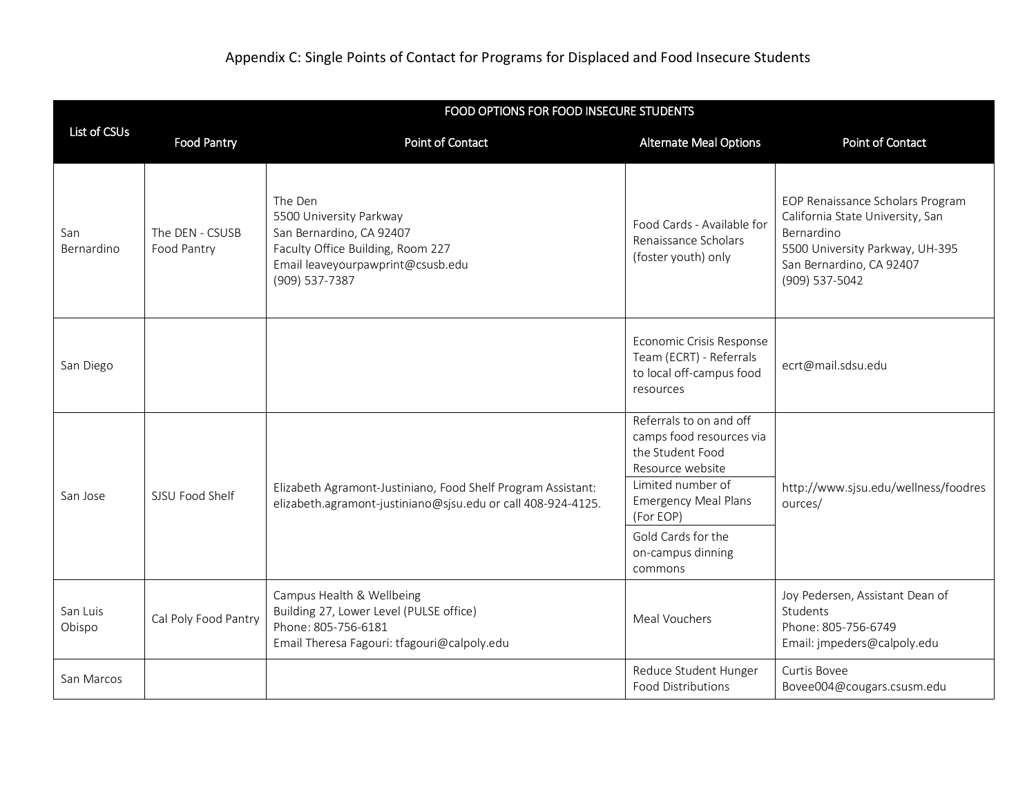|                    | FOOD OPTIONS FOR FOOD INSECURE STUDENTS |                                                                                                                                                            |                                                                                                                                                                                                                    |                                                                                                                                                                     |  |  |
|--------------------|-----------------------------------------|------------------------------------------------------------------------------------------------------------------------------------------------------------|--------------------------------------------------------------------------------------------------------------------------------------------------------------------------------------------------------------------|---------------------------------------------------------------------------------------------------------------------------------------------------------------------|--|--|
| List of CSUs       | <b>Food Pantry</b>                      | <b>Point of Contact</b>                                                                                                                                    | <b>Alternate Meal Options</b>                                                                                                                                                                                      | Point of Contact                                                                                                                                                    |  |  |
| San<br>Bernardino  | The DEN - CSUSB<br>Food Pantry          | The Den<br>5500 University Parkway<br>San Bernardino, CA 92407<br>Faculty Office Building, Room 227<br>Email leaveyourpawprint@csusb.edu<br>(909) 537-7387 | Food Cards - Available for<br>Renaissance Scholars<br>(foster youth) only                                                                                                                                          | EOP Renaissance Scholars Program<br>California State University, San<br>Bernardino<br>5500 University Parkway, UH-395<br>San Bernardino, CA 92407<br>(909) 537-5042 |  |  |
| San Diego          |                                         |                                                                                                                                                            | Economic Crisis Response<br>Team (ECRT) - Referrals<br>to local off-campus food<br>resources                                                                                                                       | ecrt@mail.sdsu.edu                                                                                                                                                  |  |  |
| San Jose           | SJSU Food Shelf                         | Elizabeth Agramont-Justiniano, Food Shelf Program Assistant:<br>elizabeth.agramont-justiniano@sjsu.edu or call 408-924-4125.                               | Referrals to on and off<br>camps food resources via<br>the Student Food<br>Resource website<br>Limited number of<br><b>Emergency Meal Plans</b><br>(For EOP)<br>Gold Cards for the<br>on-campus dinning<br>commons | http://www.sjsu.edu/wellness/foodres<br>ources/                                                                                                                     |  |  |
| San Luis<br>Obispo | Cal Poly Food Pantry                    | Campus Health & Wellbeing<br>Building 27, Lower Level (PULSE office)<br>Phone: 805-756-6181<br>Email Theresa Fagouri: tfagouri@calpoly.edu                 | Meal Vouchers                                                                                                                                                                                                      | Joy Pedersen, Assistant Dean of<br>Students<br>Phone: 805-756-6749<br>Email: jmpeders@calpoly.edu                                                                   |  |  |
| San Marcos         |                                         |                                                                                                                                                            | Reduce Student Hunger<br>Food Distributions                                                                                                                                                                        | Curtis Bovee<br>Bovee004@cougars.csusm.edu                                                                                                                          |  |  |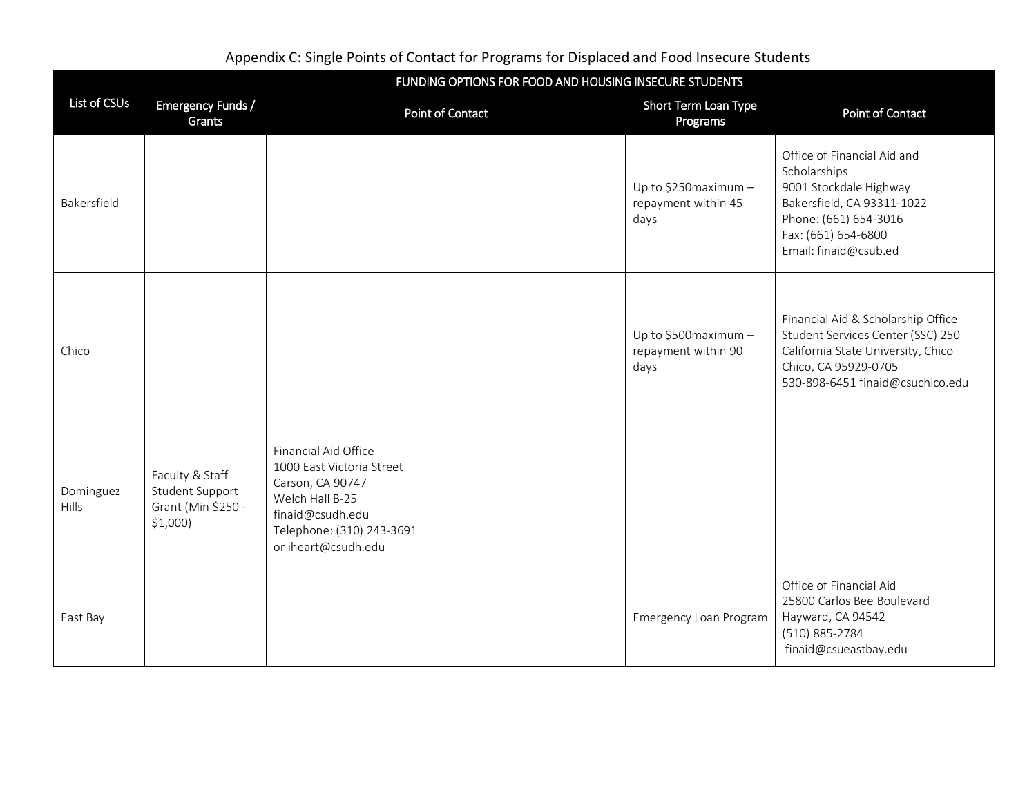|                           | FUNDING OPTIONS FOR FOOD AND HOUSING INSECURE STUDENTS                 |                                                                                                                                                                  |                                                        |                                                                                                                                                                              |
|---------------------------|------------------------------------------------------------------------|------------------------------------------------------------------------------------------------------------------------------------------------------------------|--------------------------------------------------------|------------------------------------------------------------------------------------------------------------------------------------------------------------------------------|
| List of CSUs              | Emergency Funds /<br>Grants                                            | Point of Contact                                                                                                                                                 | Short Term Loan Type<br>Programs                       | Point of Contact                                                                                                                                                             |
| Bakersfield               |                                                                        |                                                                                                                                                                  | Up to \$250 maximum $-$<br>repayment within 45<br>days | Office of Financial Aid and<br>Scholarships<br>9001 Stockdale Highway<br>Bakersfield, CA 93311-1022<br>Phone: (661) 654-3016<br>Fax: (661) 654-6800<br>Email: finaid@csub.ed |
| Chico                     |                                                                        |                                                                                                                                                                  | Up to \$500 maximum -<br>repayment within 90<br>days   | Financial Aid & Scholarship Office<br>Student Services Center (SSC) 250<br>California State University, Chico<br>Chico, CA 95929-0705<br>530-898-6451 finaid@csuchico.edu    |
| Dominguez<br><b>Hills</b> | Faculty & Staff<br>Student Support<br>Grant (Min \$250 -<br>$$1,000$ ) | Financial Aid Office<br>1000 East Victoria Street<br>Carson, CA 90747<br>Welch Hall B-25<br>finaid@csudh.edu<br>Telephone: (310) 243-3691<br>or iheart@csudh.edu |                                                        |                                                                                                                                                                              |
| East Bay                  |                                                                        |                                                                                                                                                                  | Emergency Loan Program                                 | Office of Financial Aid<br>25800 Carlos Bee Boulevard<br>Hayward, CA 94542<br>(510) 885-2784<br>finaid@csueastbay.edu                                                        |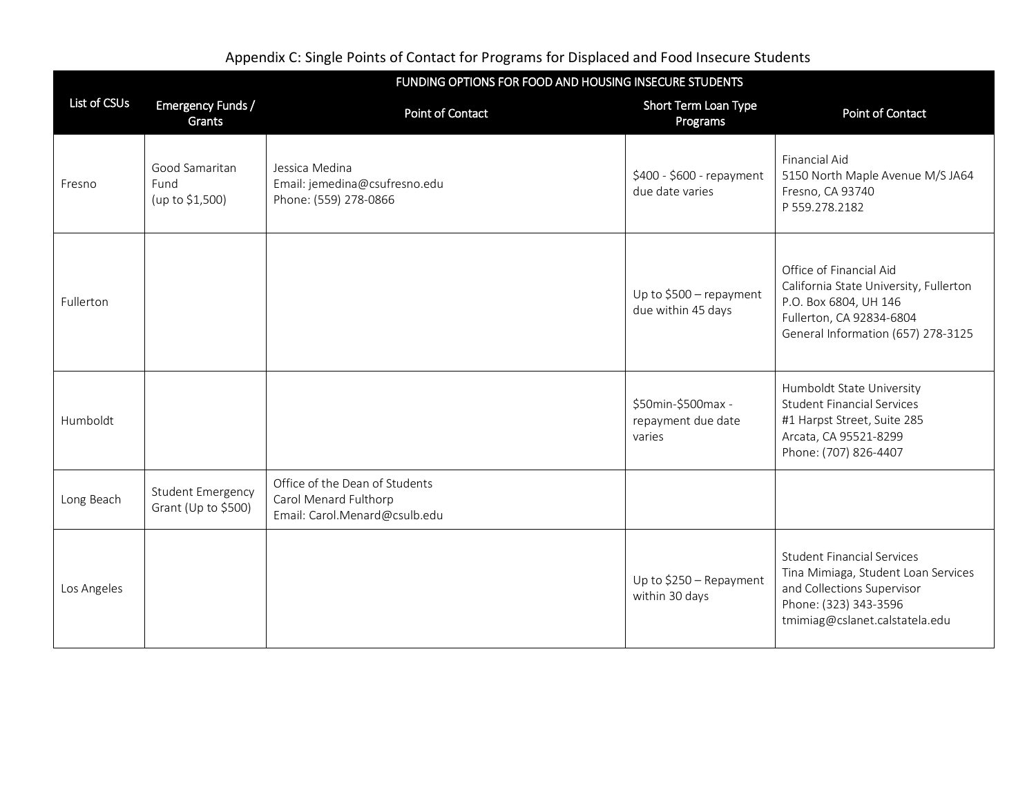|              | FUNDING OPTIONS FOR FOOD AND HOUSING INSECURE STUDENTS |                                                                                          |                                                    |                                                                                                                                                                   |
|--------------|--------------------------------------------------------|------------------------------------------------------------------------------------------|----------------------------------------------------|-------------------------------------------------------------------------------------------------------------------------------------------------------------------|
| List of CSUs | Emergency Funds /<br>Grants                            | Point of Contact                                                                         | Short Term Loan Type<br>Programs                   | Point of Contact                                                                                                                                                  |
| Fresno       | Good Samaritan<br>Fund<br>(up to \$1,500)              | Jessica Medina<br>Email: jemedina@csufresno.edu<br>Phone: (559) 278-0866                 | \$400 - \$600 - repayment<br>due date varies       | Financial Aid<br>5150 North Maple Avenue M/S JA64<br>Fresno, CA 93740<br>P 559.278.2182                                                                           |
| Fullerton    |                                                        |                                                                                          | Up to \$500 - repayment<br>due within 45 days      | Office of Financial Aid<br>California State University, Fullerton<br>P.O. Box 6804, UH 146<br>Fullerton, CA 92834-6804<br>General Information (657) 278-3125      |
| Humboldt     |                                                        |                                                                                          | \$50min-\$500max -<br>repayment due date<br>varies | Humboldt State University<br><b>Student Financial Services</b><br>#1 Harpst Street, Suite 285<br>Arcata, CA 95521-8299<br>Phone: (707) 826-4407                   |
| Long Beach   | <b>Student Emergency</b><br>Grant (Up to \$500)        | Office of the Dean of Students<br>Carol Menard Fulthorp<br>Email: Carol.Menard@csulb.edu |                                                    |                                                                                                                                                                   |
| Los Angeles  |                                                        |                                                                                          | Up to \$250 - Repayment<br>within 30 days          | <b>Student Financial Services</b><br>Tina Mimiaga, Student Loan Services<br>and Collections Supervisor<br>Phone: (323) 343-3596<br>tmimiag@cslanet.calstatela.edu |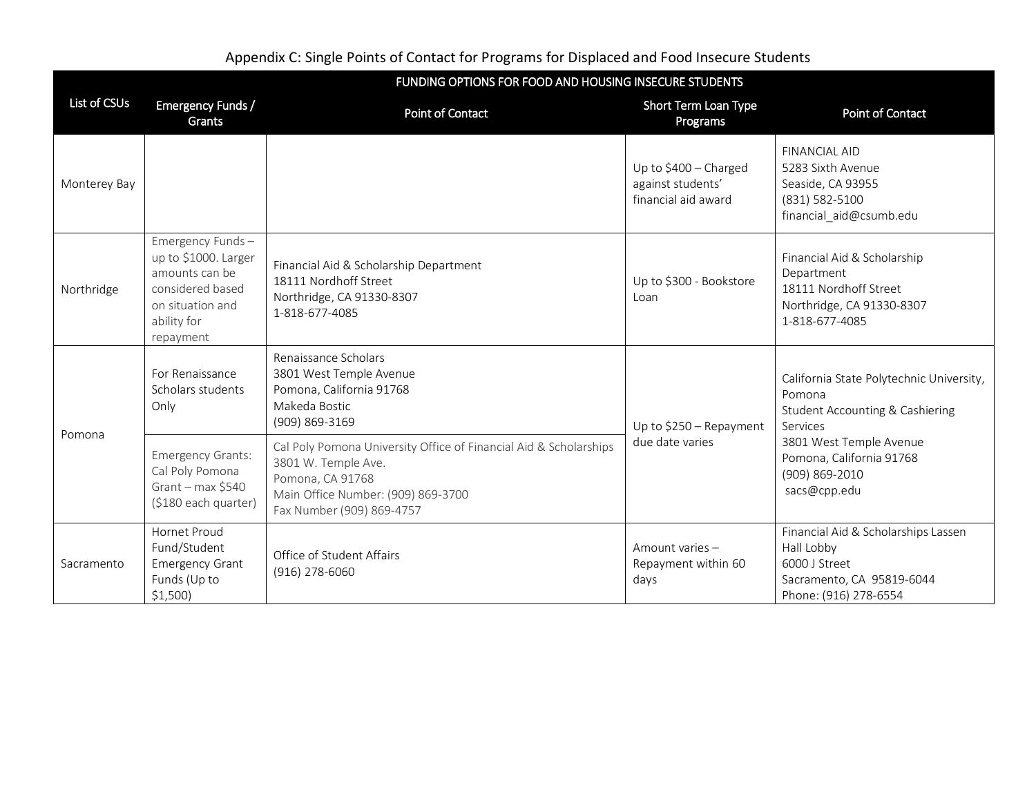|              | FUNDING OPTIONS FOR FOOD AND HOUSING INSECURE STUDENTS                                                                         |                                                                                                                                                                                 |                                                                   |                                                                                                                                                                                            |  |
|--------------|--------------------------------------------------------------------------------------------------------------------------------|---------------------------------------------------------------------------------------------------------------------------------------------------------------------------------|-------------------------------------------------------------------|--------------------------------------------------------------------------------------------------------------------------------------------------------------------------------------------|--|
| List of CSUs | Emergency Funds /<br>Grants                                                                                                    | Point of Contact                                                                                                                                                                | Short Term Loan Type<br>Programs                                  | Point of Contact                                                                                                                                                                           |  |
| Monterey Bay |                                                                                                                                |                                                                                                                                                                                 | Up to \$400 - Charged<br>against students'<br>financial aid award | <b>FINANCIAL AID</b><br>5283 Sixth Avenue<br>Seaside, CA 93955<br>(831) 582-5100<br>financial aid@csumb.edu                                                                                |  |
| Northridge   | Emergency Funds-<br>up to \$1000. Larger<br>amounts can be<br>considered based<br>on situation and<br>ability for<br>repayment | Financial Aid & Scholarship Department<br>18111 Nordhoff Street<br>Northridge, CA 91330-8307<br>1-818-677-4085                                                                  | Up to \$300 - Bookstore<br>Loan                                   | Financial Aid & Scholarship<br>Department<br>18111 Nordhoff Street<br>Northridge, CA 91330-8307<br>1-818-677-4085                                                                          |  |
| Pomona       | For Renaissance<br>Scholars students<br>Only                                                                                   | Renaissance Scholars<br>3801 West Temple Avenue<br>Pomona, California 91768<br>Makeda Bostic<br>(909) 869-3169                                                                  | Up to \$250 - Repayment<br>due date varies                        | California State Polytechnic University,<br>Pomona<br>Student Accounting & Cashiering<br>Services<br>3801 West Temple Avenue<br>Pomona, California 91768<br>(909) 869-2010<br>sacs@cpp.edu |  |
|              | <b>Emergency Grants:</b><br>Cal Poly Pomona<br>Grant $-$ max \$540<br>(\$180 each quarter)                                     | Cal Poly Pomona University Office of Financial Aid & Scholarships<br>3801 W. Temple Ave.<br>Pomona, CA 91768<br>Main Office Number: (909) 869-3700<br>Fax Number (909) 869-4757 |                                                                   |                                                                                                                                                                                            |  |
| Sacramento   | Hornet Proud<br>Fund/Student<br><b>Emergency Grant</b><br>Funds (Up to<br>$$1,500$ )                                           | Office of Student Affairs<br>$(916)$ 278-6060                                                                                                                                   | Amount varies -<br>Repayment within 60<br>days                    | Financial Aid & Scholarships Lassen<br>Hall Lobby<br>6000 J Street<br>Sacramento, CA 95819-6044<br>Phone: (916) 278-6554                                                                   |  |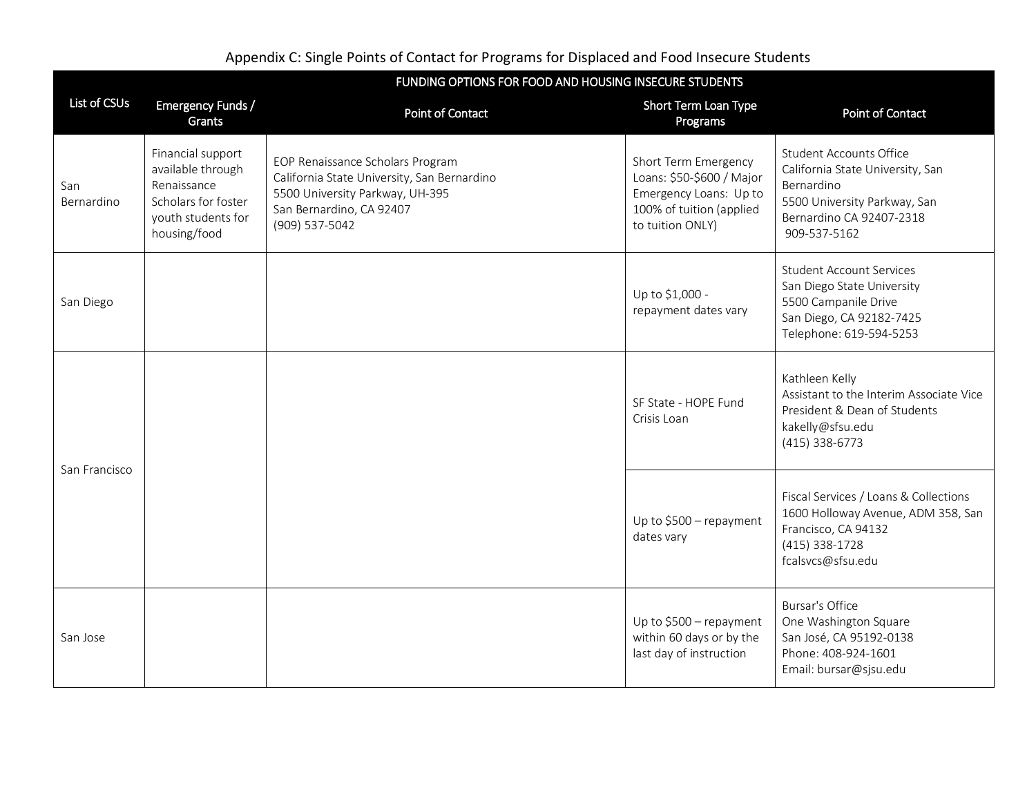|                   | FUNDING OPTIONS FOR FOOD AND HOUSING INSECURE STUDENTS                                                             |                                                                                                                                                                  |                                                                                                                             |                                                                                                                                                              |
|-------------------|--------------------------------------------------------------------------------------------------------------------|------------------------------------------------------------------------------------------------------------------------------------------------------------------|-----------------------------------------------------------------------------------------------------------------------------|--------------------------------------------------------------------------------------------------------------------------------------------------------------|
| List of CSUs      | Emergency Funds /<br>Grants                                                                                        | Point of Contact                                                                                                                                                 | Short Term Loan Type<br>Programs                                                                                            | Point of Contact                                                                                                                                             |
| San<br>Bernardino | Financial support<br>available through<br>Renaissance<br>Scholars for foster<br>youth students for<br>housing/food | EOP Renaissance Scholars Program<br>California State University, San Bernardino<br>5500 University Parkway, UH-395<br>San Bernardino, CA 92407<br>(909) 537-5042 | Short Term Emergency<br>Loans: \$50-\$600 / Major<br>Emergency Loans: Up to<br>100% of tuition (applied<br>to tuition ONLY) | <b>Student Accounts Office</b><br>California State University, San<br>Bernardino<br>5500 University Parkway, San<br>Bernardino CA 92407-2318<br>909-537-5162 |
| San Diego         |                                                                                                                    |                                                                                                                                                                  | Up to \$1,000 -<br>repayment dates vary                                                                                     | <b>Student Account Services</b><br>San Diego State University<br>5500 Campanile Drive<br>San Diego, CA 92182-7425<br>Telephone: 619-594-5253                 |
| San Francisco     |                                                                                                                    |                                                                                                                                                                  | SF State - HOPE Fund<br>Crisis Loan                                                                                         | Kathleen Kelly<br>Assistant to the Interim Associate Vice<br>President & Dean of Students<br>kakelly@sfsu.edu<br>$(415)$ 338-6773                            |
|                   |                                                                                                                    |                                                                                                                                                                  | Up to \$500 - repayment<br>dates vary                                                                                       | Fiscal Services / Loans & Collections<br>1600 Holloway Avenue, ADM 358, San<br>Francisco, CA 94132<br>(415) 338-1728<br>fcalsvcs@sfsu.edu                    |
| San Jose          |                                                                                                                    |                                                                                                                                                                  | Up to \$500 - repayment<br>within 60 days or by the<br>last day of instruction                                              | Bursar's Office<br>One Washington Square<br>San José, CA 95192-0138<br>Phone: 408-924-1601<br>Email: bursar@sjsu.edu                                         |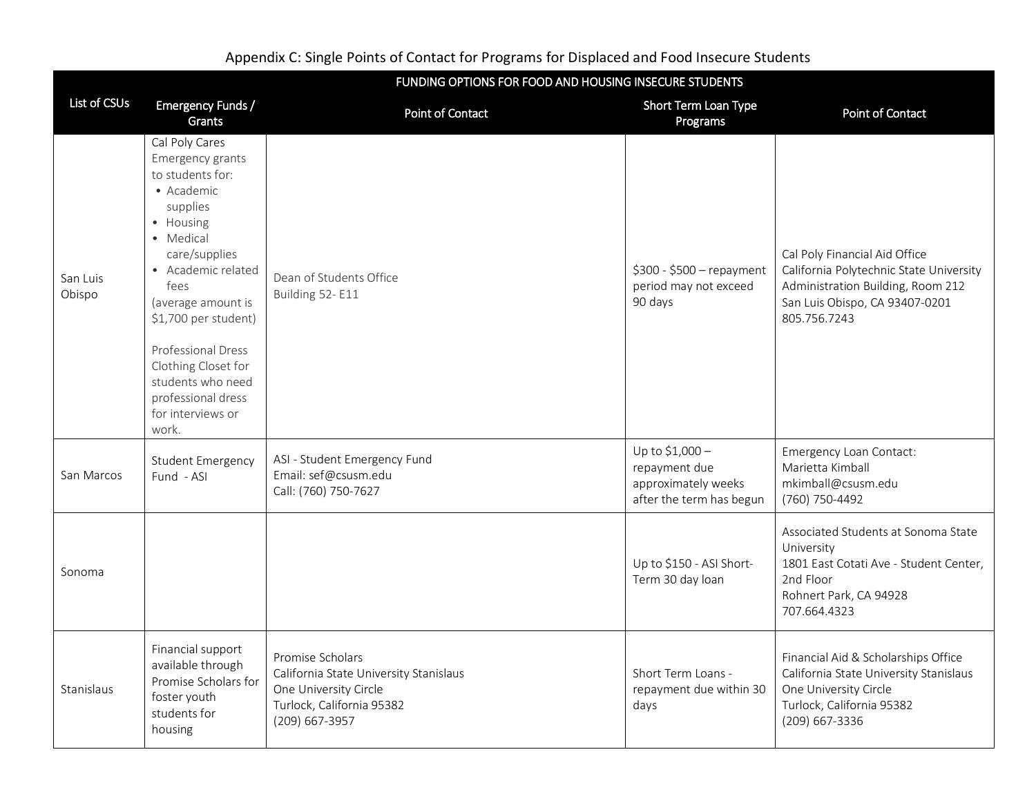|                    | FUNDING OPTIONS FOR FOOD AND HOUSING INSECURE STUDENTS                                                                                                                                                                                                                                                                               |                                                                                                                                    |                                                                                     |                                                                                                                                                                 |  |
|--------------------|--------------------------------------------------------------------------------------------------------------------------------------------------------------------------------------------------------------------------------------------------------------------------------------------------------------------------------------|------------------------------------------------------------------------------------------------------------------------------------|-------------------------------------------------------------------------------------|-----------------------------------------------------------------------------------------------------------------------------------------------------------------|--|
| List of CSUs       | Emergency Funds /<br>Grants                                                                                                                                                                                                                                                                                                          | Point of Contact                                                                                                                   | Short Term Loan Type<br>Programs                                                    | Point of Contact                                                                                                                                                |  |
| San Luis<br>Obispo | Cal Poly Cares<br>Emergency grants<br>to students for:<br>• Academic<br>supplies<br>• Housing<br>• Medical<br>care/supplies<br>• Academic related<br>fees<br>(average amount is<br>\$1,700 per student)<br><b>Professional Dress</b><br>Clothing Closet for<br>students who need<br>professional dress<br>for interviews or<br>work. | Dean of Students Office<br>Building 52-E11                                                                                         | $$300 - $500 -$ repayment<br>period may not exceed<br>90 days                       | Cal Poly Financial Aid Office<br>California Polytechnic State University<br>Administration Building, Room 212<br>San Luis Obispo, CA 93407-0201<br>805.756.7243 |  |
| San Marcos         | <b>Student Emergency</b><br>Fund - ASI                                                                                                                                                                                                                                                                                               | ASI - Student Emergency Fund<br>Email: sef@csusm.edu<br>Call: (760) 750-7627                                                       | Up to $$1,000-$<br>repayment due<br>approximately weeks<br>after the term has begun | Emergency Loan Contact:<br>Marietta Kimball<br>mkimball@csusm.edu<br>(760) 750-4492                                                                             |  |
| Sonoma             |                                                                                                                                                                                                                                                                                                                                      |                                                                                                                                    | Up to \$150 - ASI Short-<br>Term 30 day loan                                        | Associated Students at Sonoma State<br>University<br>1801 East Cotati Ave - Student Center,<br>2nd Floor<br>Rohnert Park, CA 94928<br>707.664.4323              |  |
| Stanislaus         | Financial support<br>available through<br>Promise Scholars for<br>foster youth<br>students for<br>housing                                                                                                                                                                                                                            | Promise Scholars<br>California State University Stanislaus<br>One University Circle<br>Turlock, California 95382<br>(209) 667-3957 | Short Term Loans -<br>repayment due within 30<br>days                               | Financial Aid & Scholarships Office<br>California State University Stanislaus<br>One University Circle<br>Turlock, California 95382<br>(209) 667-3336           |  |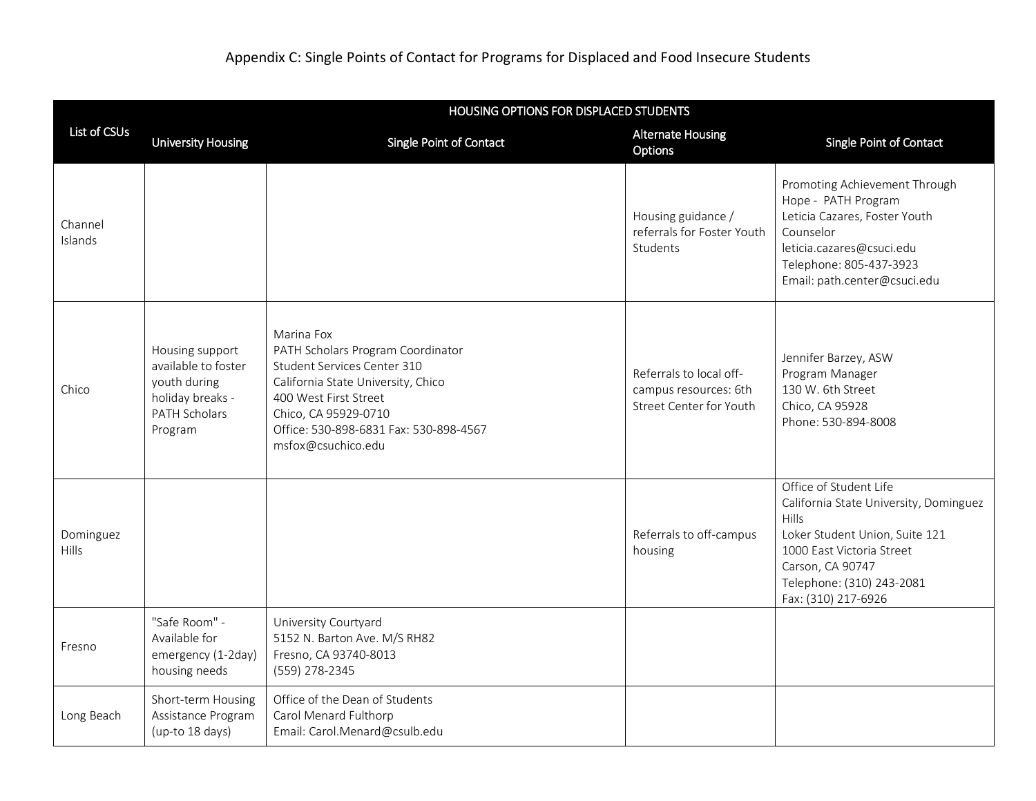|                    | HOUSING OPTIONS FOR DISPLACED STUDENTS                                                                 |                                                                                                                                                                                                                                       |                                                                             |                                                                                                                                                                                                                  |
|--------------------|--------------------------------------------------------------------------------------------------------|---------------------------------------------------------------------------------------------------------------------------------------------------------------------------------------------------------------------------------------|-----------------------------------------------------------------------------|------------------------------------------------------------------------------------------------------------------------------------------------------------------------------------------------------------------|
| List of CSUs       | <b>University Housing</b>                                                                              | Single Point of Contact                                                                                                                                                                                                               | <b>Alternate Housing</b><br>Options                                         | Single Point of Contact                                                                                                                                                                                          |
| Channel<br>Islands |                                                                                                        |                                                                                                                                                                                                                                       | Housing guidance /<br>referrals for Foster Youth<br>Students                | Promoting Achievement Through<br>Hope - PATH Program<br>Leticia Cazares, Foster Youth<br>Counselor<br>leticia.cazares@csuci.edu<br>Telephone: 805-437-3923<br>Email: path.center@csuci.edu                       |
| Chico              | Housing support<br>available to foster<br>youth during<br>holiday breaks -<br>PATH Scholars<br>Program | Marina Fox<br>PATH Scholars Program Coordinator<br>Student Services Center 310<br>California State University, Chico<br>400 West First Street<br>Chico, CA 95929-0710<br>Office: 530-898-6831 Fax: 530-898-4567<br>msfox@csuchico.edu | Referrals to local off-<br>campus resources: 6th<br>Street Center for Youth | Jennifer Barzey, ASW<br>Program Manager<br>130 W. 6th Street<br>Chico, CA 95928<br>Phone: 530-894-8008                                                                                                           |
| Dominguez<br>Hills |                                                                                                        |                                                                                                                                                                                                                                       | Referrals to off-campus<br>housing                                          | Office of Student Life<br>California State University, Dominguez<br>Hills<br>Loker Student Union, Suite 121<br>1000 East Victoria Street<br>Carson, CA 90747<br>Telephone: (310) 243-2081<br>Fax: (310) 217-6926 |
| Fresno             | "Safe Room" -<br>Available for<br>emergency (1-2day)<br>housing needs                                  | University Courtyard<br>5152 N. Barton Ave. M/S RH82<br>Fresno, CA 93740-8013<br>(559) 278-2345                                                                                                                                       |                                                                             |                                                                                                                                                                                                                  |
| Long Beach         | Short-term Housing<br>Assistance Program<br>(up-to 18 days)                                            | Office of the Dean of Students<br>Carol Menard Fulthorp<br>Email: Carol.Menard@csulb.edu                                                                                                                                              |                                                                             |                                                                                                                                                                                                                  |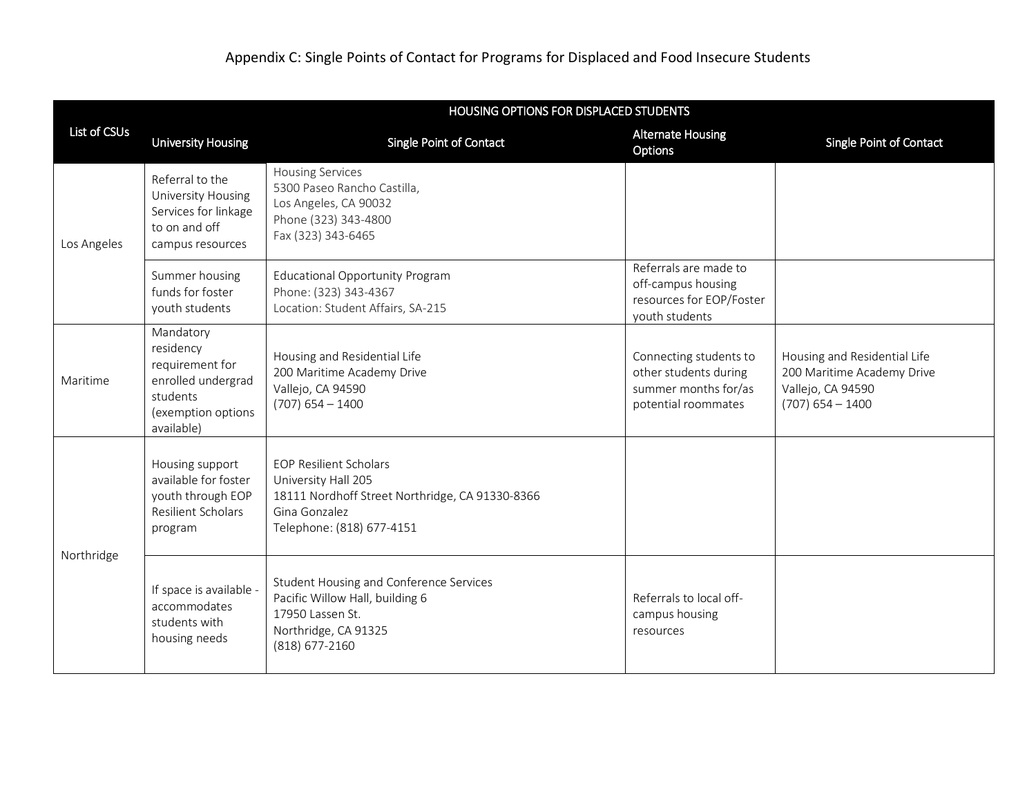|              | HOUSING OPTIONS FOR DISPLACED STUDENTS                                                                          |                                                                                                                                                       |                                                                                                |                                                                                                       |
|--------------|-----------------------------------------------------------------------------------------------------------------|-------------------------------------------------------------------------------------------------------------------------------------------------------|------------------------------------------------------------------------------------------------|-------------------------------------------------------------------------------------------------------|
| List of CSUs | <b>University Housing</b>                                                                                       | Single Point of Contact                                                                                                                               | <b>Alternate Housing</b><br>Options                                                            | Single Point of Contact                                                                               |
| Los Angeles  | Referral to the<br>University Housing<br>Services for linkage<br>to on and off<br>campus resources              | <b>Housing Services</b><br>5300 Paseo Rancho Castilla,<br>Los Angeles, CA 90032<br>Phone (323) 343-4800<br>Fax (323) 343-6465                         |                                                                                                |                                                                                                       |
|              | Summer housing<br>funds for foster<br>youth students                                                            | <b>Educational Opportunity Program</b><br>Phone: (323) 343-4367<br>Location: Student Affairs, SA-215                                                  | Referrals are made to<br>off-campus housing<br>resources for EOP/Foster<br>youth students      |                                                                                                       |
| Maritime     | Mandatory<br>residency<br>requirement for<br>enrolled undergrad<br>students<br>(exemption options<br>available) | Housing and Residential Life<br>200 Maritime Academy Drive<br>Vallejo, CA 94590<br>$(707)$ 654 - 1400                                                 | Connecting students to<br>other students during<br>summer months for/as<br>potential roommates | Housing and Residential Life<br>200 Maritime Academy Drive<br>Vallejo, CA 94590<br>$(707)$ 654 - 1400 |
| Northridge   | Housing support<br>available for foster<br>youth through EOP<br>Resilient Scholars<br>program                   | <b>EOP Resilient Scholars</b><br>University Hall 205<br>18111 Nordhoff Street Northridge, CA 91330-8366<br>Gina Gonzalez<br>Telephone: (818) 677-4151 |                                                                                                |                                                                                                       |
|              | If space is available -<br>accommodates<br>students with<br>housing needs                                       | Student Housing and Conference Services<br>Pacific Willow Hall, building 6<br>17950 Lassen St.<br>Northridge, CA 91325<br>(818) 677-2160              | Referrals to local off-<br>campus housing<br>resources                                         |                                                                                                       |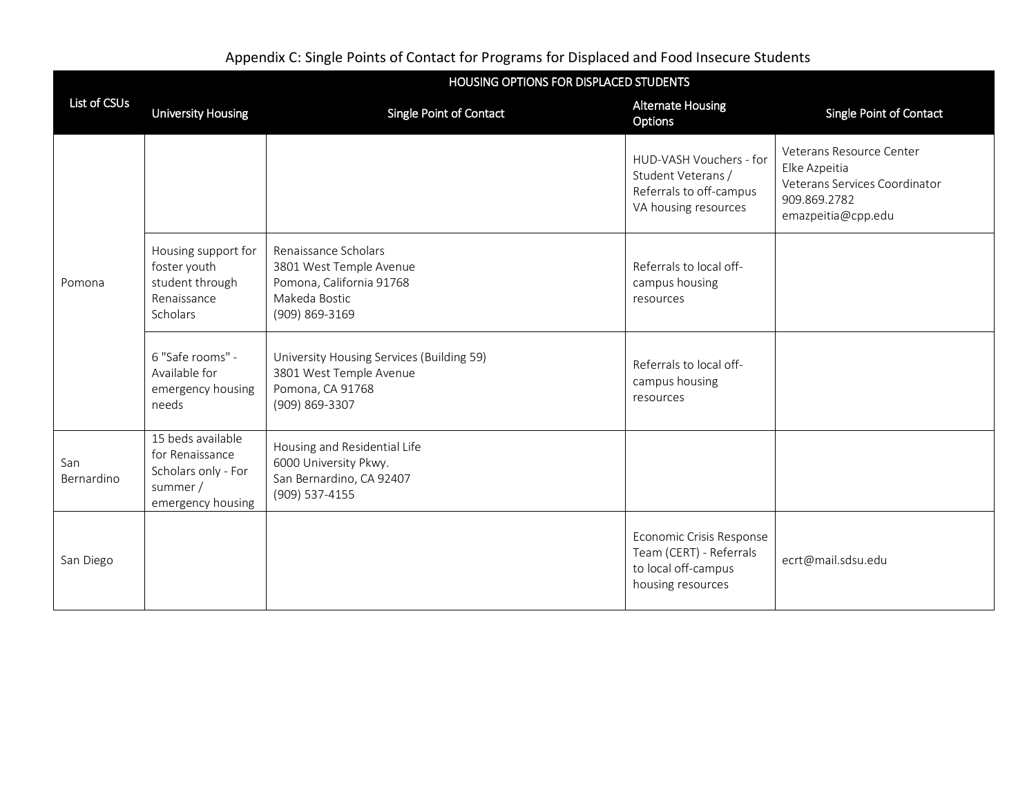|                   | HOUSING OPTIONS FOR DISPLACED STUDENTS                                                       |                                                                                                                |                                                                                                  |                                                                                                                  |  |
|-------------------|----------------------------------------------------------------------------------------------|----------------------------------------------------------------------------------------------------------------|--------------------------------------------------------------------------------------------------|------------------------------------------------------------------------------------------------------------------|--|
| List of CSUs      | <b>University Housing</b>                                                                    | Single Point of Contact                                                                                        | <b>Alternate Housing</b><br>Options                                                              | Single Point of Contact                                                                                          |  |
| Pomona            |                                                                                              |                                                                                                                | HUD-VASH Vouchers - for<br>Student Veterans /<br>Referrals to off-campus<br>VA housing resources | Veterans Resource Center<br>Elke Azpeitia<br>Veterans Services Coordinator<br>909.869.2782<br>emazpeitia@cpp.edu |  |
|                   | Housing support for<br>foster youth<br>student through<br>Renaissance<br>Scholars            | Renaissance Scholars<br>3801 West Temple Avenue<br>Pomona, California 91768<br>Makeda Bostic<br>(909) 869-3169 | Referrals to local off-<br>campus housing<br>resources                                           |                                                                                                                  |  |
|                   | 6 "Safe rooms" -<br>Available for<br>emergency housing<br>needs                              | University Housing Services (Building 59)<br>3801 West Temple Avenue<br>Pomona, CA 91768<br>(909) 869-3307     | Referrals to local off-<br>campus housing<br>resources                                           |                                                                                                                  |  |
| San<br>Bernardino | 15 beds available<br>for Renaissance<br>Scholars only - For<br>summer /<br>emergency housing | Housing and Residential Life<br>6000 University Pkwy.<br>San Bernardino, CA 92407<br>(909) 537-4155            |                                                                                                  |                                                                                                                  |  |
| San Diego         |                                                                                              |                                                                                                                | Economic Crisis Response<br>Team (CERT) - Referrals<br>to local off-campus<br>housing resources  | ecrt@mail.sdsu.edu                                                                                               |  |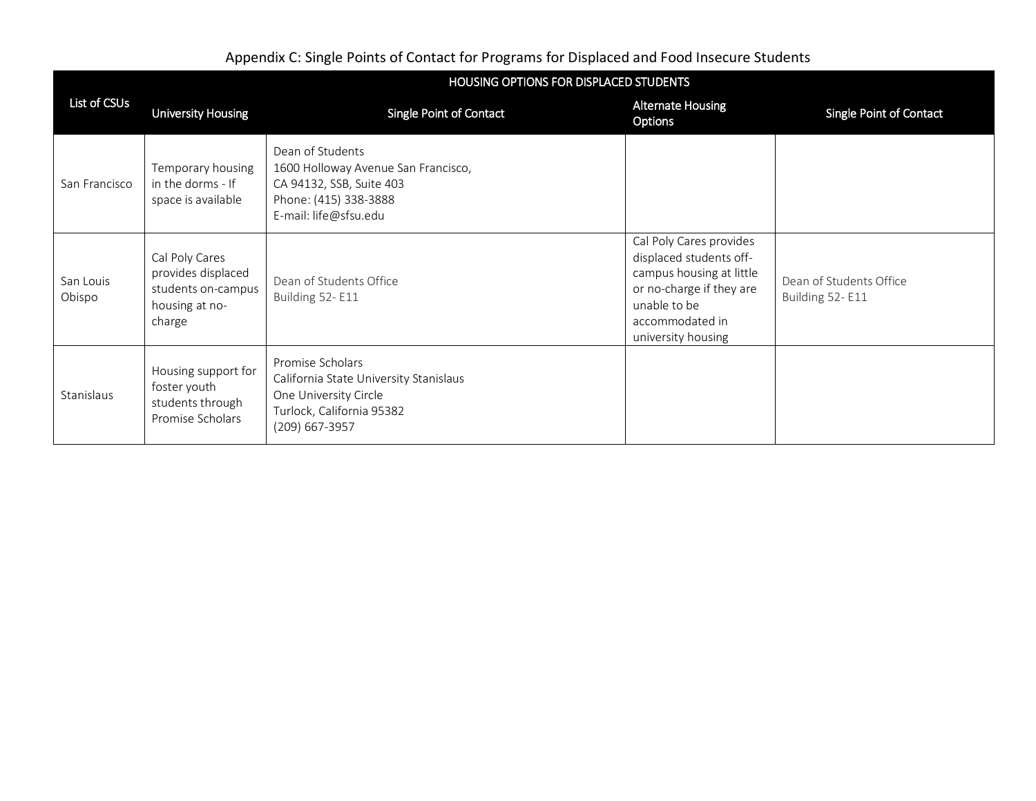|                     | HOUSING OPTIONS FOR DISPLACED STUDENTS                                                 |                                                                                                                                       |                                                                                                                                                                     |                                            |  |
|---------------------|----------------------------------------------------------------------------------------|---------------------------------------------------------------------------------------------------------------------------------------|---------------------------------------------------------------------------------------------------------------------------------------------------------------------|--------------------------------------------|--|
| List of CSUs        | <b>University Housing</b>                                                              | Single Point of Contact                                                                                                               | <b>Alternate Housing</b><br>Options                                                                                                                                 | Single Point of Contact                    |  |
| San Francisco       | Temporary housing<br>in the dorms - If<br>space is available                           | Dean of Students<br>1600 Holloway Avenue San Francisco,<br>CA 94132, SSB, Suite 403<br>Phone: (415) 338-3888<br>E-mail: life@sfsu.edu |                                                                                                                                                                     |                                            |  |
| San Louis<br>Obispo | Cal Poly Cares<br>provides displaced<br>students on-campus<br>housing at no-<br>charge | Dean of Students Office<br>Building 52-E11                                                                                            | Cal Poly Cares provides<br>displaced students off-<br>campus housing at little<br>or no-charge if they are<br>unable to be<br>accommodated in<br>university housing | Dean of Students Office<br>Building 52-E11 |  |
| Stanislaus          | Housing support for<br>foster youth<br>students through<br>Promise Scholars            | Promise Scholars<br>California State University Stanislaus<br>One University Circle<br>Turlock, California 95382<br>(209) 667-3957    |                                                                                                                                                                     |                                            |  |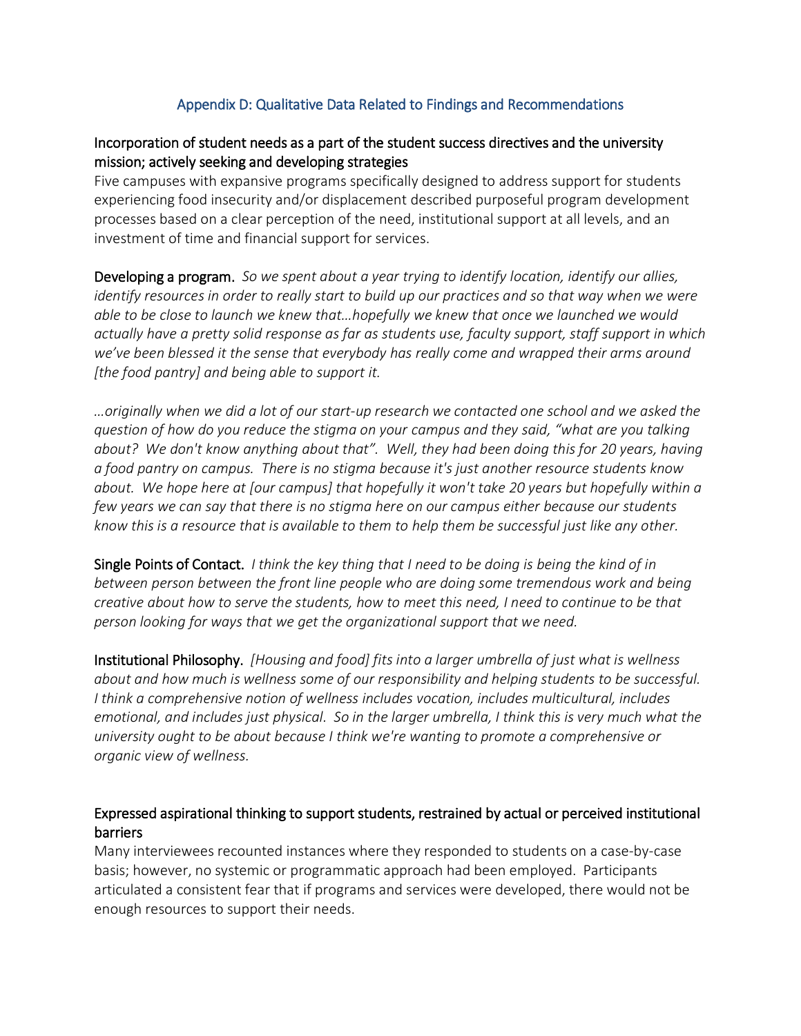### Appendix D: Qualitative Data Related to Findings and Recommendations

### Incorporation of student needs as a part of the student success directives and the university mission; actively seeking and developing strategies

Five campuses with expansive programs specifically designed to address support for students experiencing food insecurity and/or displacement described purposeful program development processes based on a clear perception of the need, institutional support at all levels, and an investment of time and financial support for services.

Developing a program. *So we spent about a year trying to identify location, identify our allies, identify resources in order to really start to build up our practices and so that way when we were able to be close to launch we knew that…hopefully we knew that once we launched we would actually have a pretty solid response as far as students use, faculty support, staff support in which we've been blessed it the sense that everybody has really come and wrapped their arms around [the food pantry] and being able to support it.* 

*…originally when we did a lot of our start-up research we contacted one school and we asked the question of how do you reduce the stigma on your campus and they said, "what are you talking about? We don't know anything about that". Well, they had been doing this for 20 years, having a food pantry on campus. There is no stigma because it's just another resource students know about. We hope here at [our campus] that hopefully it won't take 20 years but hopefully within a few years we can say that there is no stigma here on our campus either because our students know this is a resource that is available to them to help them be successful just like any other.* 

Single Points of Contact. *I think the key thing that I need to be doing is being the kind of in between person between the front line people who are doing some tremendous work and being creative about how to serve the students, how to meet this need, I need to continue to be that person looking for ways that we get the organizational support that we need.* 

Institutional Philosophy. *[Housing and food] fits into a larger umbrella of just what is wellness about and how much is wellness some of our responsibility and helping students to be successful. I think a comprehensive notion of wellness includes vocation, includes multicultural, includes emotional, and includes just physical. So in the larger umbrella, I think this is very much what the university ought to be about because I think we're wanting to promote a comprehensive or organic view of wellness.*

# Expressed aspirational thinking to support students, restrained by actual or perceived institutional barriers

Many interviewees recounted instances where they responded to students on a case-by-case basis; however, no systemic or programmatic approach had been employed. Participants articulated a consistent fear that if programs and services were developed, there would not be enough resources to support their needs.